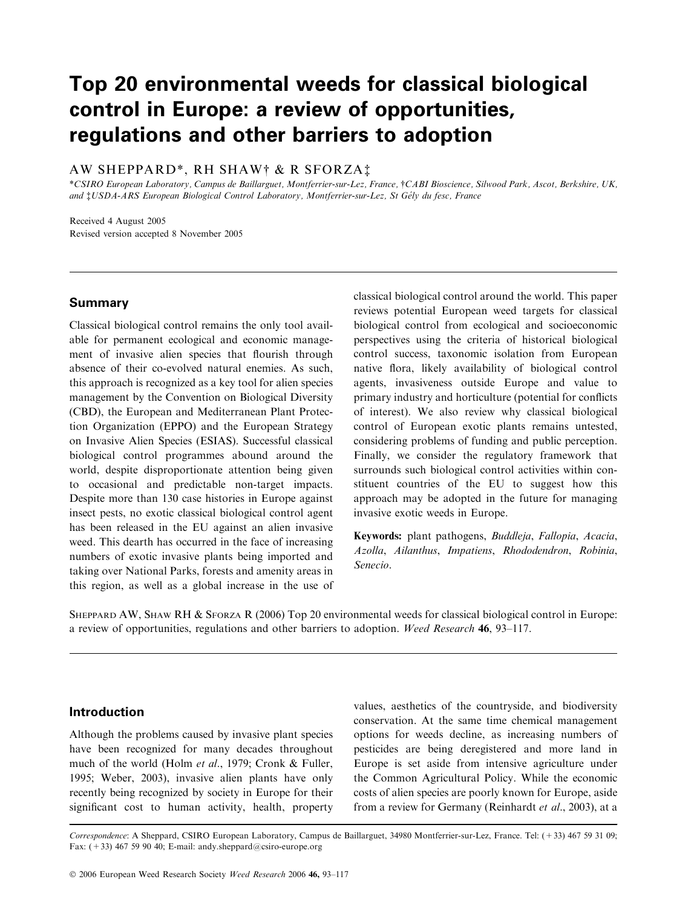# Top 20 environmental weeds for classical biological control in Europe: a review of opportunities, regulations and other barriers to adoption

# AW SHEPPARD\*, RH SHAW† & R SFORZA‡

\*CSIRO European Laboratory, Campus de Baillarguet, Montferrier-sur-Lez, France, †CABI Bioscience, Silwood Park, Ascot, Berkshire, UK, and *†USDA-ARS European Biological Control Laboratory, Montferrier-sur-Lez, St Gély du fesc, France* 

Received 4 August 2005 Revised version accepted 8 November 2005

# Summary

Classical biological control remains the only tool available for permanent ecological and economic management of invasive alien species that flourish through absence of their co-evolved natural enemies. As such, this approach is recognized as a key tool for alien species management by the Convention on Biological Diversity (CBD), the European and Mediterranean Plant Protection Organization (EPPO) and the European Strategy on Invasive Alien Species (ESIAS). Successful classical biological control programmes abound around the world, despite disproportionate attention being given to occasional and predictable non-target impacts. Despite more than 130 case histories in Europe against insect pests, no exotic classical biological control agent has been released in the EU against an alien invasive weed. This dearth has occurred in the face of increasing numbers of exotic invasive plants being imported and taking over National Parks, forests and amenity areas in this region, as well as a global increase in the use of classical biological control around the world. This paper reviews potential European weed targets for classical biological control from ecological and socioeconomic perspectives using the criteria of historical biological control success, taxonomic isolation from European native flora, likely availability of biological control agents, invasiveness outside Europe and value to primary industry and horticulture (potential for conflicts of interest). We also review why classical biological control of European exotic plants remains untested, considering problems of funding and public perception. Finally, we consider the regulatory framework that surrounds such biological control activities within constituent countries of the EU to suggest how this approach may be adopted in the future for managing invasive exotic weeds in Europe.

Keywords: plant pathogens, Buddleja, Fallopia, Acacia, Azolla, Ailanthus, Impatiens, Rhododendron, Robinia, Senecio.

SHEPPARD AW, SHAW RH & SFORZA R (2006) Top 20 environmental weeds for classical biological control in Europe: a review of opportunities, regulations and other barriers to adoption. Weed Research 46, 93–117.

# Introduction

Although the problems caused by invasive plant species have been recognized for many decades throughout much of the world (Holm et al., 1979; Cronk & Fuller, 1995; Weber, 2003), invasive alien plants have only recently being recognized by society in Europe for their significant cost to human activity, health, property values, aesthetics of the countryside, and biodiversity conservation. At the same time chemical management options for weeds decline, as increasing numbers of pesticides are being deregistered and more land in Europe is set aside from intensive agriculture under the Common Agricultural Policy. While the economic costs of alien species are poorly known for Europe, aside from a review for Germany (Reinhardt et al., 2003), at a

Correspondence: A Sheppard, CSIRO European Laboratory, Campus de Baillarguet, 34980 Montferrier-sur-Lez, France. Tel: (+33) 467 59 31 09; Fax:  $(+33)$  467 59 90 40; E-mail: andy.sheppard@csiro-europe.org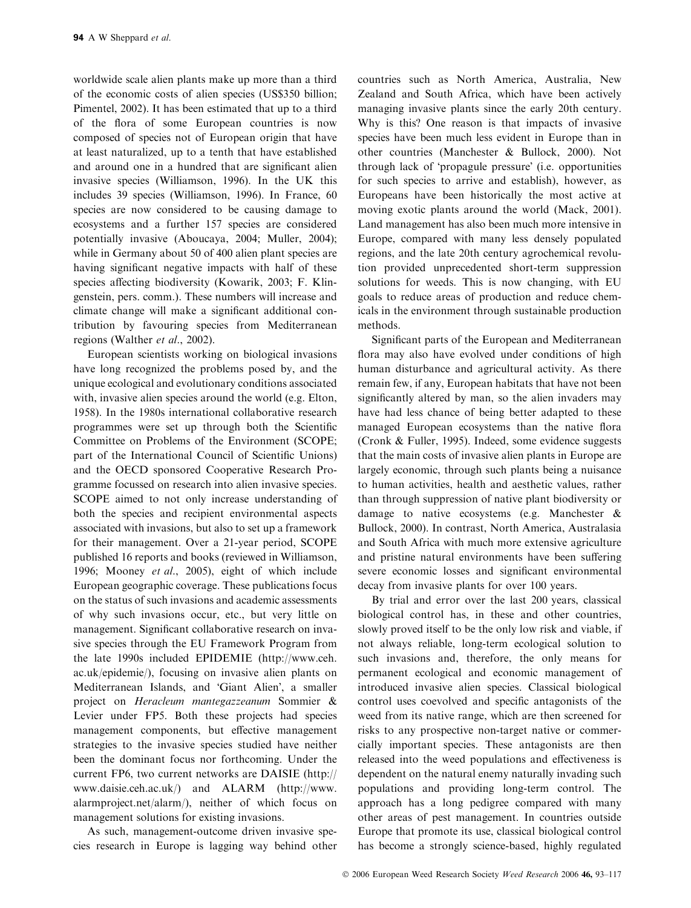worldwide scale alien plants make up more than a third of the economic costs of alien species (US\$350 billion; Pimentel, 2002). It has been estimated that up to a third of the flora of some European countries is now composed of species not of European origin that have at least naturalized, up to a tenth that have established and around one in a hundred that are significant alien invasive species (Williamson, 1996). In the UK this includes 39 species (Williamson, 1996). In France, 60 species are now considered to be causing damage to ecosystems and a further 157 species are considered potentially invasive (Aboucaya, 2004; Muller, 2004); while in Germany about 50 of 400 alien plant species are having significant negative impacts with half of these species affecting biodiversity (Kowarik, 2003; F. Klingenstein, pers. comm.). These numbers will increase and climate change will make a significant additional contribution by favouring species from Mediterranean regions (Walther et al., 2002).

European scientists working on biological invasions have long recognized the problems posed by, and the unique ecological and evolutionary conditions associated with, invasive alien species around the world (e.g. Elton, 1958). In the 1980s international collaborative research programmes were set up through both the Scientific Committee on Problems of the Environment (SCOPE; part of the International Council of Scientific Unions) and the OECD sponsored Cooperative Research Programme focussed on research into alien invasive species. SCOPE aimed to not only increase understanding of both the species and recipient environmental aspects associated with invasions, but also to set up a framework for their management. Over a 21-year period, SCOPE published 16 reports and books (reviewed in Williamson, 1996; Mooney et al., 2005), eight of which include European geographic coverage. These publications focus on the status of such invasions and academic assessments of why such invasions occur, etc., but very little on management. Significant collaborative research on invasive species through the EU Framework Program from the late 1990s included EPIDEMIE (http://www.ceh. ac.uk/epidemie/), focusing on invasive alien plants on Mediterranean Islands, and 'Giant Alien', a smaller project on Heracleum mantegazzeanum Sommier & Levier under FP5. Both these projects had species management components, but effective management strategies to the invasive species studied have neither been the dominant focus nor forthcoming. Under the current FP6, two current networks are DAISIE (http:// www.daisie.ceh.ac.uk/) and ALARM (http://www. alarmproject.net/alarm/), neither of which focus on management solutions for existing invasions.

As such, management-outcome driven invasive species research in Europe is lagging way behind other countries such as North America, Australia, New Zealand and South Africa, which have been actively managing invasive plants since the early 20th century. Why is this? One reason is that impacts of invasive species have been much less evident in Europe than in other countries (Manchester & Bullock, 2000). Not through lack of 'propagule pressure' (i.e. opportunities for such species to arrive and establish), however, as Europeans have been historically the most active at moving exotic plants around the world (Mack, 2001). Land management has also been much more intensive in Europe, compared with many less densely populated regions, and the late 20th century agrochemical revolution provided unprecedented short-term suppression solutions for weeds. This is now changing, with EU goals to reduce areas of production and reduce chemicals in the environment through sustainable production methods.

Significant parts of the European and Mediterranean flora may also have evolved under conditions of high human disturbance and agricultural activity. As there remain few, if any, European habitats that have not been significantly altered by man, so the alien invaders may have had less chance of being better adapted to these managed European ecosystems than the native flora (Cronk & Fuller, 1995). Indeed, some evidence suggests that the main costs of invasive alien plants in Europe are largely economic, through such plants being a nuisance to human activities, health and aesthetic values, rather than through suppression of native plant biodiversity or damage to native ecosystems (e.g. Manchester & Bullock, 2000). In contrast, North America, Australasia and South Africa with much more extensive agriculture and pristine natural environments have been suffering severe economic losses and significant environmental decay from invasive plants for over 100 years.

By trial and error over the last 200 years, classical biological control has, in these and other countries, slowly proved itself to be the only low risk and viable, if not always reliable, long-term ecological solution to such invasions and, therefore, the only means for permanent ecological and economic management of introduced invasive alien species. Classical biological control uses coevolved and specific antagonists of the weed from its native range, which are then screened for risks to any prospective non-target native or commercially important species. These antagonists are then released into the weed populations and effectiveness is dependent on the natural enemy naturally invading such populations and providing long-term control. The approach has a long pedigree compared with many other areas of pest management. In countries outside Europe that promote its use, classical biological control has become a strongly science-based, highly regulated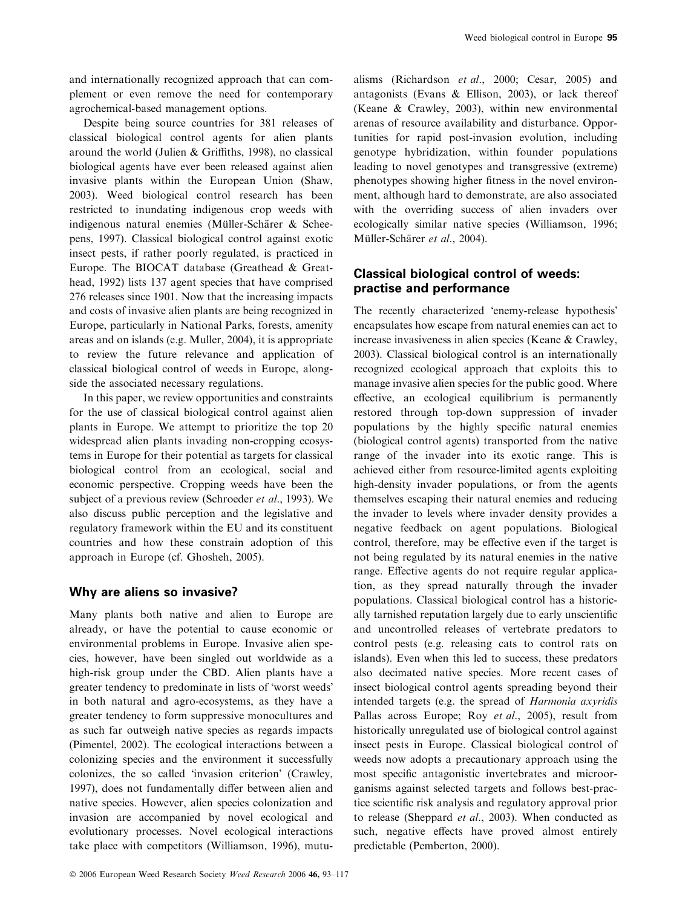and internationally recognized approach that can complement or even remove the need for contemporary agrochemical-based management options.

Despite being source countries for 381 releases of classical biological control agents for alien plants around the world (Julien & Griffiths, 1998), no classical biological agents have ever been released against alien invasive plants within the European Union (Shaw, 2003). Weed biological control research has been restricted to inundating indigenous crop weeds with indigenous natural enemies (Müller-Schärer & Scheepens, 1997). Classical biological control against exotic insect pests, if rather poorly regulated, is practiced in Europe. The BIOCAT database (Greathead & Greathead, 1992) lists 137 agent species that have comprised 276 releases since 1901. Now that the increasing impacts and costs of invasive alien plants are being recognized in Europe, particularly in National Parks, forests, amenity areas and on islands (e.g. Muller, 2004), it is appropriate to review the future relevance and application of classical biological control of weeds in Europe, alongside the associated necessary regulations.

In this paper, we review opportunities and constraints for the use of classical biological control against alien plants in Europe. We attempt to prioritize the top 20 widespread alien plants invading non-cropping ecosystems in Europe for their potential as targets for classical biological control from an ecological, social and economic perspective. Cropping weeds have been the subject of a previous review (Schroeder et al., 1993). We also discuss public perception and the legislative and regulatory framework within the EU and its constituent countries and how these constrain adoption of this approach in Europe (cf. Ghosheh, 2005).

# Why are aliens so invasive?

Many plants both native and alien to Europe are already, or have the potential to cause economic or environmental problems in Europe. Invasive alien species, however, have been singled out worldwide as a high-risk group under the CBD. Alien plants have a greater tendency to predominate in lists of 'worst weeds' in both natural and agro-ecosystems, as they have a greater tendency to form suppressive monocultures and as such far outweigh native species as regards impacts (Pimentel, 2002). The ecological interactions between a colonizing species and the environment it successfully colonizes, the so called 'invasion criterion' (Crawley, 1997), does not fundamentally differ between alien and native species. However, alien species colonization and invasion are accompanied by novel ecological and evolutionary processes. Novel ecological interactions take place with competitors (Williamson, 1996), mutualisms (Richardson et al., 2000; Cesar, 2005) and antagonists (Evans  $\&$  Ellison, 2003), or lack thereof (Keane & Crawley, 2003), within new environmental arenas of resource availability and disturbance. Opportunities for rapid post-invasion evolution, including genotype hybridization, within founder populations leading to novel genotypes and transgressive (extreme) phenotypes showing higher fitness in the novel environment, although hard to demonstrate, are also associated with the overriding success of alien invaders over ecologically similar native species (Williamson, 1996; Müller-Schärer et al., 2004).

# Classical biological control of weeds: practise and performance

The recently characterized 'enemy-release hypothesis' encapsulates how escape from natural enemies can act to increase invasiveness in alien species (Keane & Crawley, 2003). Classical biological control is an internationally recognized ecological approach that exploits this to manage invasive alien species for the public good. Where effective, an ecological equilibrium is permanently restored through top-down suppression of invader populations by the highly specific natural enemies (biological control agents) transported from the native range of the invader into its exotic range. This is achieved either from resource-limited agents exploiting high-density invader populations, or from the agents themselves escaping their natural enemies and reducing the invader to levels where invader density provides a negative feedback on agent populations. Biological control, therefore, may be effective even if the target is not being regulated by its natural enemies in the native range. Effective agents do not require regular application, as they spread naturally through the invader populations. Classical biological control has a historically tarnished reputation largely due to early unscientific and uncontrolled releases of vertebrate predators to control pests (e.g. releasing cats to control rats on islands). Even when this led to success, these predators also decimated native species. More recent cases of insect biological control agents spreading beyond their intended targets (e.g. the spread of Harmonia axyridis Pallas across Europe; Roy et al., 2005), result from historically unregulated use of biological control against insect pests in Europe. Classical biological control of weeds now adopts a precautionary approach using the most specific antagonistic invertebrates and microorganisms against selected targets and follows best-practice scientific risk analysis and regulatory approval prior to release (Sheppard et al., 2003). When conducted as such, negative effects have proved almost entirely predictable (Pemberton, 2000).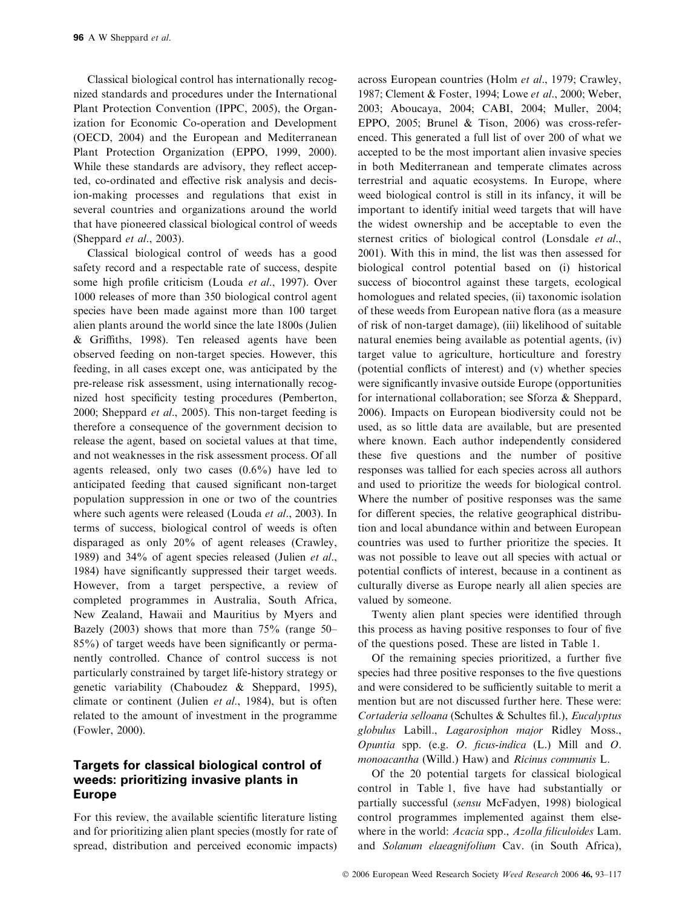Classical biological control has internationally recognized standards and procedures under the International Plant Protection Convention (IPPC, 2005), the Organization for Economic Co-operation and Development (OECD, 2004) and the European and Mediterranean Plant Protection Organization (EPPO, 1999, 2000). While these standards are advisory, they reflect accepted, co-ordinated and effective risk analysis and decision-making processes and regulations that exist in several countries and organizations around the world that have pioneered classical biological control of weeds (Sheppard  $et$  al., 2003).

Classical biological control of weeds has a good safety record and a respectable rate of success, despite some high profile criticism (Louda et al., 1997). Over 1000 releases of more than 350 biological control agent species have been made against more than 100 target alien plants around the world since the late 1800s (Julien & Griffiths, 1998). Ten released agents have been observed feeding on non-target species. However, this feeding, in all cases except one, was anticipated by the pre-release risk assessment, using internationally recognized host specificity testing procedures (Pemberton, 2000; Sheppard et al., 2005). This non-target feeding is therefore a consequence of the government decision to release the agent, based on societal values at that time, and not weaknesses in the risk assessment process. Of all agents released, only two cases (0.6%) have led to anticipated feeding that caused significant non-target population suppression in one or two of the countries where such agents were released (Louda et al., 2003). In terms of success, biological control of weeds is often disparaged as only 20% of agent releases (Crawley, 1989) and 34% of agent species released (Julien et al., 1984) have significantly suppressed their target weeds. However, from a target perspective, a review of completed programmes in Australia, South Africa, New Zealand, Hawaii and Mauritius by Myers and Bazely (2003) shows that more than 75% (range 50– 85%) of target weeds have been significantly or permanently controlled. Chance of control success is not particularly constrained by target life-history strategy or genetic variability (Chaboudez & Sheppard, 1995), climate or continent (Julien et al., 1984), but is often related to the amount of investment in the programme (Fowler, 2000).

# Targets for classical biological control of weeds: prioritizing invasive plants in Europe

For this review, the available scientific literature listing and for prioritizing alien plant species (mostly for rate of spread, distribution and perceived economic impacts) across European countries (Holm et al., 1979; Crawley, 1987; Clement & Foster, 1994; Lowe et al., 2000; Weber, 2003; Aboucaya, 2004; CABI, 2004; Muller, 2004; EPPO, 2005; Brunel & Tison, 2006) was cross-referenced. This generated a full list of over 200 of what we accepted to be the most important alien invasive species in both Mediterranean and temperate climates across terrestrial and aquatic ecosystems. In Europe, where weed biological control is still in its infancy, it will be important to identify initial weed targets that will have the widest ownership and be acceptable to even the sternest critics of biological control (Lonsdale et al., 2001). With this in mind, the list was then assessed for biological control potential based on (i) historical success of biocontrol against these targets, ecological homologues and related species, (ii) taxonomic isolation of these weeds from European native flora (as a measure of risk of non-target damage), (iii) likelihood of suitable natural enemies being available as potential agents, (iv) target value to agriculture, horticulture and forestry (potential conflicts of interest) and (v) whether species were significantly invasive outside Europe (opportunities for international collaboration; see Sforza & Sheppard, 2006). Impacts on European biodiversity could not be used, as so little data are available, but are presented where known. Each author independently considered these five questions and the number of positive responses was tallied for each species across all authors and used to prioritize the weeds for biological control. Where the number of positive responses was the same for different species, the relative geographical distribution and local abundance within and between European countries was used to further prioritize the species. It was not possible to leave out all species with actual or potential conflicts of interest, because in a continent as culturally diverse as Europe nearly all alien species are valued by someone.

Twenty alien plant species were identified through this process as having positive responses to four of five of the questions posed. These are listed in Table 1.

Of the remaining species prioritized, a further five species had three positive responses to the five questions and were considered to be sufficiently suitable to merit a mention but are not discussed further here. These were: Cortaderia selloana (Schultes & Schultes fil.), Eucalyptus globulus Labill., Lagarosiphon major Ridley Moss., Opuntia spp. (e.g. O. ficus-indica (L.) Mill and O. monoacantha (Willd.) Haw) and Ricinus communis L.

Of the 20 potential targets for classical biological control in Table 1, five have had substantially or partially successful (sensu McFadyen, 1998) biological control programmes implemented against them elsewhere in the world: Acacia spp., Azolla filiculoides Lam. and Solanum elaeagnifolium Cav. (in South Africa),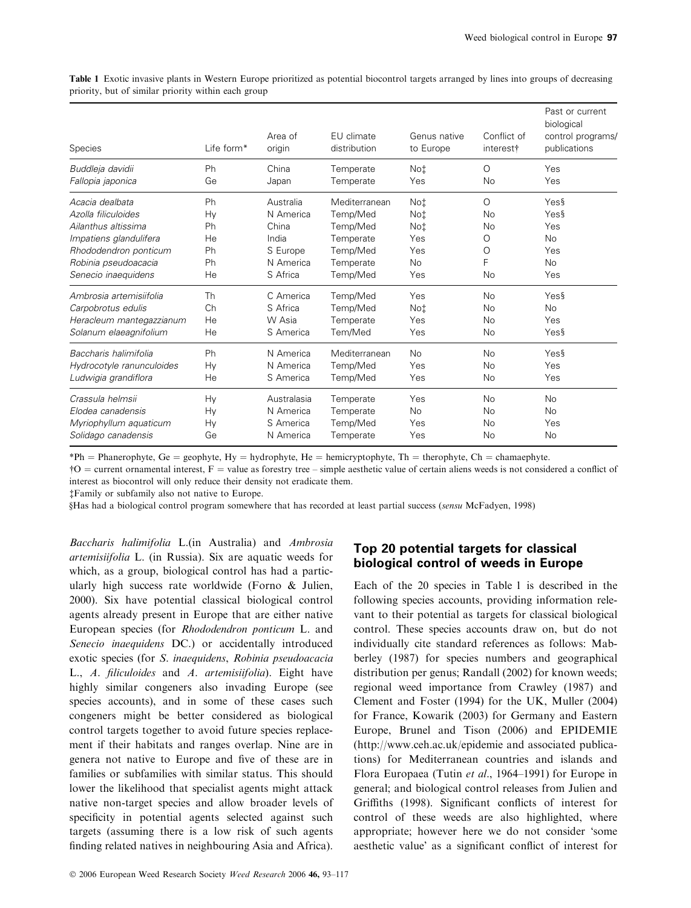| Species                   | Life form* | Area of<br>origin | EU climate<br>distribution | Genus native<br>to Europe | Conflict of<br>interest <sup>+</sup> | Past or current<br>biological<br>control programs/<br>publications |
|---------------------------|------------|-------------------|----------------------------|---------------------------|--------------------------------------|--------------------------------------------------------------------|
| Buddleja davidii          | Ph         | China             | Temperate                  | Noi                       | $\Omega$                             | Yes                                                                |
| Fallopia japonica         | Ge         | Japan             | Temperate                  | Yes                       | No                                   | Yes                                                                |
| Acacia dealbata           | Ph         | Australia         | Mediterranean              | Noi                       | $\Omega$                             | Yes§                                                               |
| Azolla filiculoides       | Hy         | N America         | Temp/Med                   | Noi                       | No                                   | Yes§                                                               |
| Ailanthus altissima       | Ph         | China             | Temp/Med                   | Noi                       | No                                   | Yes                                                                |
| Impatiens glandulifera    | He         | India             | Temperate                  | Yes                       | $\Omega$                             | <b>No</b>                                                          |
| Rhododendron ponticum     | Ph         | S Europe          | Temp/Med                   | Yes                       | O                                    | Yes                                                                |
| Robinia pseudoacacia      | Ph         | N America         | Temperate                  | <b>No</b>                 | F                                    | <b>No</b>                                                          |
| Senecio inaequidens       | He         | S Africa          | Temp/Med                   | Yes                       | No                                   | Yes                                                                |
| Ambrosia artemisiifolia   | Th         | C America         | Temp/Med                   | Yes                       | No                                   | Yes§                                                               |
| Carpobrotus edulis        | Ch         | S Africa          | Temp/Med                   | Not                       | No                                   | <b>No</b>                                                          |
| Heracleum mantegazzianum  | He         | W Asia            | Temperate                  | Yes                       | No                                   | Yes                                                                |
| Solanum elaeagnifolium    | He         | S America         | Tem/Med                    | Yes                       | <b>No</b>                            | Yes§                                                               |
| Baccharis halimifolia     | Ph         | N America         | Mediterranean              | <b>No</b>                 | <b>No</b>                            | Yes§                                                               |
| Hydrocotyle ranunculoides | Hy         | N America         | Temp/Med                   | Yes                       | <b>No</b>                            | Yes                                                                |
| Ludwigia grandiflora      | He         | S America         | Temp/Med                   | Yes                       | No                                   | Yes                                                                |
| Crassula helmsii          | Hy         | Australasia       | Temperate                  | Yes                       | <b>No</b>                            | <b>No</b>                                                          |
| Elodea canadensis         | Hy         | N America         | Temperate                  | <b>No</b>                 | <b>No</b>                            | No                                                                 |
| Myriophyllum aquaticum    | Hy         | S America         | Temp/Med                   | Yes                       | <b>No</b>                            | Yes                                                                |
| Solidago canadensis       | Ge         | N America         | Temperate                  | Yes                       | No                                   | No                                                                 |

Table 1 Exotic invasive plants in Western Europe prioritized as potential biocontrol targets arranged by lines into groups of decreasing priority, but of similar priority within each group

\*Ph = Phanerophyte, Ge = geophyte, Hy = hydrophyte, He = hemicryptophyte, Th = therophyte, Ch = chamaephyte.

 $\dagger$ O = current ornamental interest, F = value as forestry tree – simple aesthetic value of certain aliens weeds is not considered a conflict of interest as biocontrol will only reduce their density not eradicate them.

-Family or subfamily also not native to Europe.

§Has had a biological control program somewhere that has recorded at least partial success (sensu McFadyen, 1998)

Baccharis halimifolia L.(in Australia) and Ambrosia artemisiifolia L. (in Russia). Six are aquatic weeds for which, as a group, biological control has had a particularly high success rate worldwide (Forno & Julien, 2000). Six have potential classical biological control agents already present in Europe that are either native European species (for Rhododendron ponticum L. and Senecio inaequidens DC.) or accidentally introduced exotic species (for S. inaequidens, Robinia pseudoacacia L., A. filiculoides and A. artemisiifolia). Eight have highly similar congeners also invading Europe (see species accounts), and in some of these cases such congeners might be better considered as biological control targets together to avoid future species replacement if their habitats and ranges overlap. Nine are in genera not native to Europe and five of these are in families or subfamilies with similar status. This should lower the likelihood that specialist agents might attack native non-target species and allow broader levels of specificity in potential agents selected against such targets (assuming there is a low risk of such agents finding related natives in neighbouring Asia and Africa).

#### 2006 European Weed Research Society Weed Research 2006 46, 93–117

# Top 20 potential targets for classical biological control of weeds in Europe

Each of the 20 species in Table 1 is described in the following species accounts, providing information relevant to their potential as targets for classical biological control. These species accounts draw on, but do not individually cite standard references as follows: Mabberley (1987) for species numbers and geographical distribution per genus; Randall (2002) for known weeds; regional weed importance from Crawley (1987) and Clement and Foster (1994) for the UK, Muller (2004) for France, Kowarik (2003) for Germany and Eastern Europe, Brunel and Tison (2006) and EPIDEMIE (http://www.ceh.ac.uk/epidemie and associated publications) for Mediterranean countries and islands and Flora Europaea (Tutin et al., 1964–1991) for Europe in general; and biological control releases from Julien and Griffiths (1998). Significant conflicts of interest for control of these weeds are also highlighted, where appropriate; however here we do not consider 'some aesthetic value' as a significant conflict of interest for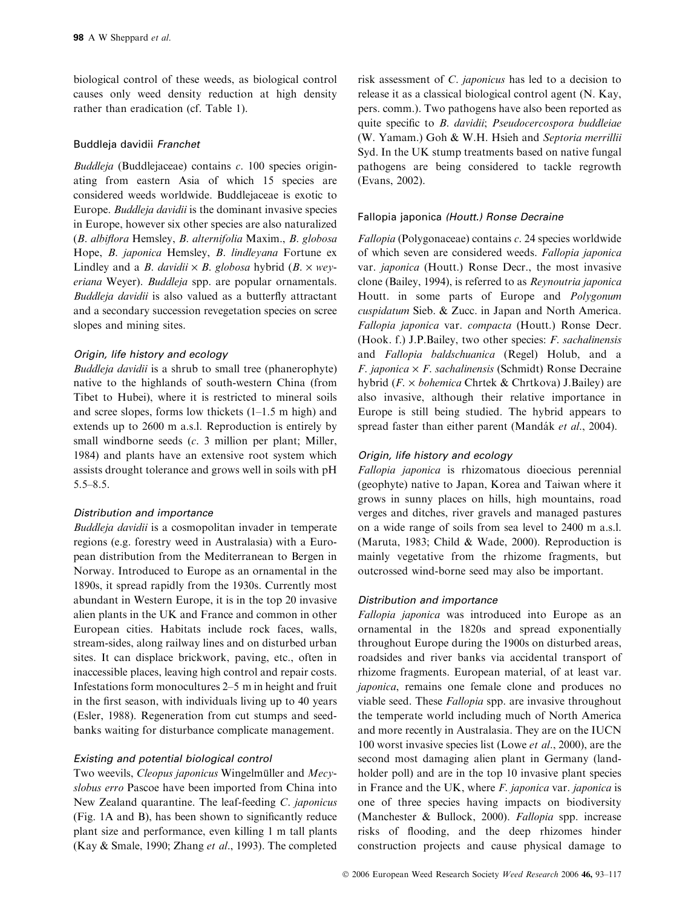biological control of these weeds, as biological control causes only weed density reduction at high density rather than eradication (cf. Table 1).

## Buddleja davidii Franchet

Buddleja (Buddlejaceae) contains  $c$ . 100 species originating from eastern Asia of which 15 species are considered weeds worldwide. Buddlejaceae is exotic to Europe. Buddleja davidii is the dominant invasive species in Europe, however six other species are also naturalized (B. albiflora Hemsley, B. alternifolia Maxim., B. globosa Hope, B. japonica Hemsley, B. lindleyana Fortune ex Lindley and a B. davidii  $\times$  B. globosa hybrid (B.  $\times$  weyeriana Weyer). Buddleja spp. are popular ornamentals. Buddleja davidii is also valued as a butterfly attractant and a secondary succession revegetation species on scree slopes and mining sites.

## Origin, life history and ecology

Buddleja davidii is a shrub to small tree (phanerophyte) native to the highlands of south-western China (from Tibet to Hubei), where it is restricted to mineral soils and scree slopes, forms low thickets  $(1-1.5 \text{ m high})$  and extends up to 2600 m a.s.l. Reproduction is entirely by small windborne seeds (c. 3 million per plant; Miller, 1984) and plants have an extensive root system which assists drought tolerance and grows well in soils with pH 5.5–8.5.

## Distribution and importance

Buddleja davidii is a cosmopolitan invader in temperate regions (e.g. forestry weed in Australasia) with a European distribution from the Mediterranean to Bergen in Norway. Introduced to Europe as an ornamental in the 1890s, it spread rapidly from the 1930s. Currently most abundant in Western Europe, it is in the top 20 invasive alien plants in the UK and France and common in other European cities. Habitats include rock faces, walls, stream-sides, along railway lines and on disturbed urban sites. It can displace brickwork, paving, etc., often in inaccessible places, leaving high control and repair costs. Infestations form monocultures 2–5 m in height and fruit in the first season, with individuals living up to 40 years (Esler, 1988). Regeneration from cut stumps and seedbanks waiting for disturbance complicate management.

## Existing and potential biological control

Two weevils, Cleopus japonicus Wingelmüller and Mecyslobus erro Pascoe have been imported from China into New Zealand quarantine. The leaf-feeding C. japonicus (Fig. 1A and B), has been shown to significantly reduce plant size and performance, even killing 1 m tall plants (Kay & Smale, 1990; Zhang  $et$   $al$ , 1993). The completed

risk assessment of C. japonicus has led to a decision to release it as a classical biological control agent (N. Kay, pers. comm.). Two pathogens have also been reported as quite specific to B. davidii; Pseudocercospora buddleiae (W. Yamam.) Goh & W.H. Hsieh and Septoria merrillii Syd. In the UK stump treatments based on native fungal pathogens are being considered to tackle regrowth (Evans, 2002).

#### Fallopia japonica (Houtt.) Ronse Decraine

 $Fallopia$  (Polygonaceae) contains  $c$ . 24 species worldwide of which seven are considered weeds. Fallopia japonica var. japonica (Houtt.) Ronse Decr., the most invasive clone (Bailey, 1994), is referred to as Reynoutria japonica Houtt. in some parts of Europe and Polygonum cuspidatum Sieb. & Zucc. in Japan and North America. Fallopia japonica var. compacta (Houtt.) Ronse Decr. (Hook. f.) J.P.Bailey, two other species: F. sachalinensis and Fallopia baldschuanica (Regel) Holub, and a F. japonica  $\times$  F. sachalinensis (Schmidt) Ronse Decraine hybrid ( $F \times \text{bohemica Chrtek} \& Chrtkova$ ) J.Bailey) are also invasive, although their relative importance in Europe is still being studied. The hybrid appears to spread faster than either parent (Mandák et al., 2004).

#### Origin, life history and ecology

Fallopia japonica is rhizomatous dioecious perennial (geophyte) native to Japan, Korea and Taiwan where it grows in sunny places on hills, high mountains, road verges and ditches, river gravels and managed pastures on a wide range of soils from sea level to 2400 m a.s.l. (Maruta, 1983; Child & Wade, 2000). Reproduction is mainly vegetative from the rhizome fragments, but outcrossed wind-borne seed may also be important.

#### Distribution and importance

Fallopia japonica was introduced into Europe as an ornamental in the 1820s and spread exponentially throughout Europe during the 1900s on disturbed areas, roadsides and river banks via accidental transport of rhizome fragments. European material, of at least var. japonica, remains one female clone and produces no viable seed. These Fallopia spp. are invasive throughout the temperate world including much of North America and more recently in Australasia. They are on the IUCN 100 worst invasive species list (Lowe et al., 2000), are the second most damaging alien plant in Germany (landholder poll) and are in the top 10 invasive plant species in France and the UK, where F. japonica var. japonica is one of three species having impacts on biodiversity (Manchester & Bullock, 2000). Fallopia spp. increase risks of flooding, and the deep rhizomes hinder construction projects and cause physical damage to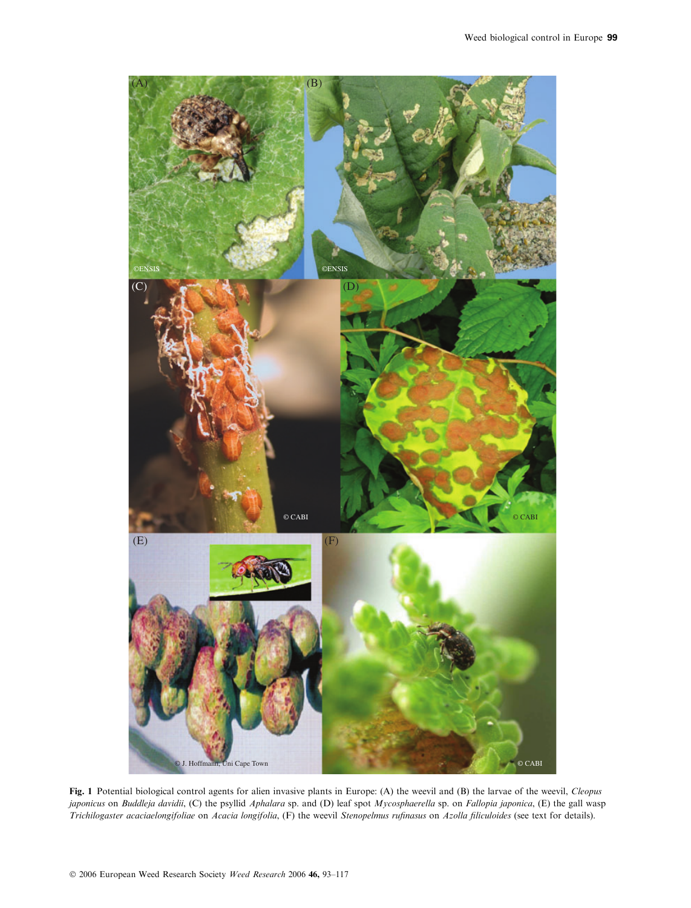

Fig. 1 Potential biological control agents for alien invasive plants in Europe: (A) the weevil and (B) the larvae of the weevil, Cleopus japonicus on Buddleja davidii, (C) the psyllid Aphalara sp. and (D) leaf spot Mycosphaerella sp. on Fallopia japonica, (E) the gall wasp Trichilogaster acaciaelongifoliae on Acacia longifolia, (F) the weevil Stenopelmus rufinasus on Azolla filiculoides (see text for details).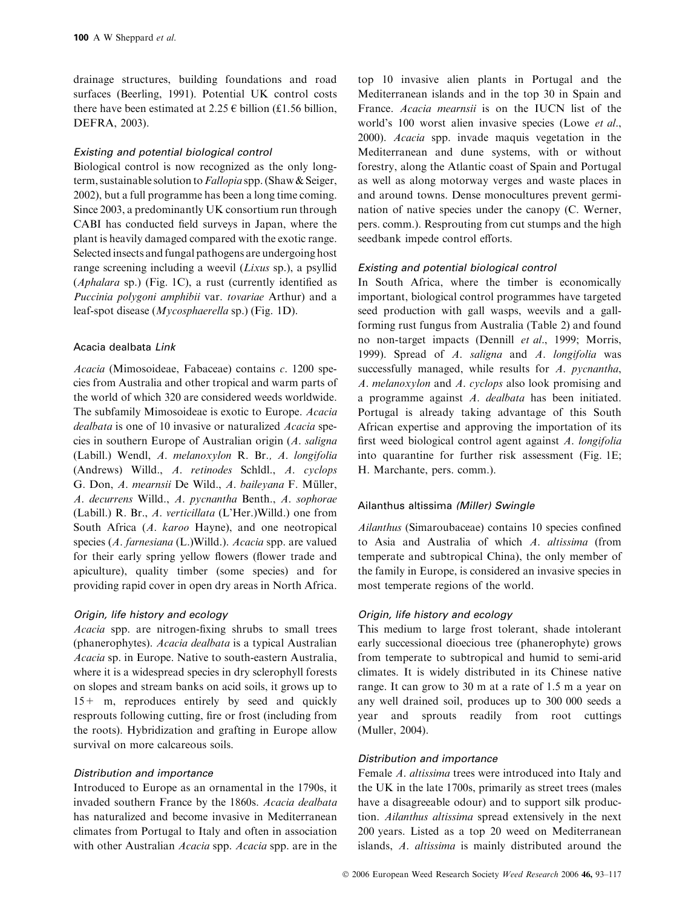drainage structures, building foundations and road surfaces (Beerling, 1991). Potential UK control costs there have been estimated at 2.25  $\epsilon$  billion (£1.56 billion, DEFRA, 2003).

## Existing and potential biological control

Biological control is now recognized as the only longterm, sustainable solution to *Fallopia* spp. (Shaw & Seiger, 2002), but a full programme has been a long time coming. Since 2003, a predominantly UK consortium run through CABI has conducted field surveys in Japan, where the plant is heavily damaged compared with the exotic range. Selected insects and fungal pathogens are undergoing host range screening including a weevil (Lixus sp.), a psyllid (Aphalara sp.) (Fig. 1C), a rust (currently identified as Puccinia polygoni amphibii var. tovariae Arthur) and a leaf-spot disease (Mycosphaerella sp.) (Fig. 1D).

## Acacia dealbata Link

Acacia (Mimosoideae, Fabaceae) contains c. 1200 species from Australia and other tropical and warm parts of the world of which 320 are considered weeds worldwide. The subfamily Mimosoideae is exotic to Europe. Acacia dealbata is one of 10 invasive or naturalized Acacia species in southern Europe of Australian origin (A. saligna (Labill.) Wendl, A. melanoxylon R. Br., A. longifolia (Andrews) Willd., A. retinodes Schldl., A. cyclops G. Don, A. mearnsii De Wild., A. baileyana F. Müller, A. decurrens Willd., A. pycnantha Benth., A. sophorae (Labill.) R. Br., A. verticillata (L'Her.)Willd.) one from South Africa (A. karoo Hayne), and one neotropical species (A. farnesiana (L.)Willd.). Acacia spp. are valued for their early spring yellow flowers (flower trade and apiculture), quality timber (some species) and for providing rapid cover in open dry areas in North Africa.

# Origin, life history and ecology

Acacia spp. are nitrogen-fixing shrubs to small trees (phanerophytes). Acacia dealbata is a typical Australian Acacia sp. in Europe. Native to south-eastern Australia, where it is a widespread species in dry sclerophyll forests on slopes and stream banks on acid soils, it grows up to 15+ m, reproduces entirely by seed and quickly resprouts following cutting, fire or frost (including from the roots). Hybridization and grafting in Europe allow survival on more calcareous soils.

#### Distribution and importance

Introduced to Europe as an ornamental in the 1790s, it invaded southern France by the 1860s. Acacia dealbata has naturalized and become invasive in Mediterranean climates from Portugal to Italy and often in association with other Australian Acacia spp. Acacia spp. are in the

top 10 invasive alien plants in Portugal and the Mediterranean islands and in the top 30 in Spain and France. Acacia mearnsii is on the IUCN list of the world's 100 worst alien invasive species (Lowe et al., 2000). Acacia spp. invade maquis vegetation in the Mediterranean and dune systems, with or without forestry, along the Atlantic coast of Spain and Portugal as well as along motorway verges and waste places in and around towns. Dense monocultures prevent germination of native species under the canopy (C. Werner, pers. comm.). Resprouting from cut stumps and the high seedbank impede control efforts.

## Existing and potential biological control

In South Africa, where the timber is economically important, biological control programmes have targeted seed production with gall wasps, weevils and a gallforming rust fungus from Australia (Table 2) and found no non-target impacts (Dennill et al., 1999; Morris, 1999). Spread of  $A$ . saligna and  $A$ . longifolia was successfully managed, while results for A. pycnantha, A. melanoxylon and A. cyclops also look promising and a programme against A. dealbata has been initiated. Portugal is already taking advantage of this South African expertise and approving the importation of its first weed biological control agent against A. longifolia into quarantine for further risk assessment (Fig. 1E; H. Marchante, pers. comm.).

## Ailanthus altissima (Miller) Swingle

Ailanthus (Simaroubaceae) contains 10 species confined to Asia and Australia of which A. altissima (from temperate and subtropical China), the only member of the family in Europe, is considered an invasive species in most temperate regions of the world.

# Origin, life history and ecology

This medium to large frost tolerant, shade intolerant early successional dioecious tree (phanerophyte) grows from temperate to subtropical and humid to semi-arid climates. It is widely distributed in its Chinese native range. It can grow to 30 m at a rate of 1.5 m a year on any well drained soil, produces up to 300 000 seeds a year and sprouts readily from root cuttings (Muller, 2004).

## Distribution and importance

Female A. altissima trees were introduced into Italy and the UK in the late 1700s, primarily as street trees (males have a disagreeable odour) and to support silk production. Ailanthus altissima spread extensively in the next 200 years. Listed as a top 20 weed on Mediterranean islands, A. altissima is mainly distributed around the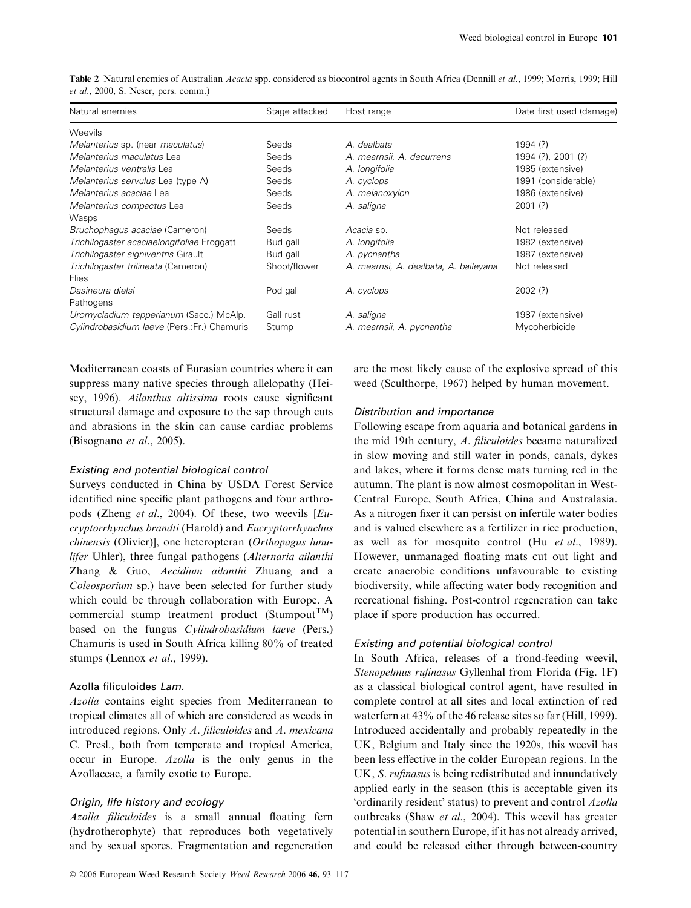| Natural enemies                             | Stage attacked | Host range                            | Date first used (damage) |
|---------------------------------------------|----------------|---------------------------------------|--------------------------|
| <b>Weevils</b>                              |                |                                       |                          |
| Melanterius sp. (near maculatus)            | Seeds          | A. dealbata                           | 1994(?)                  |
| Melanterius maculatus Lea                   | Seeds          | A. mearnsii, A. decurrens             | 1994 (?), 2001 (?)       |
| Melanterius ventralis Lea                   | Seeds          | A. longifolia                         | 1985 (extensive)         |
| Melanterius servulus Lea (type A)           | Seeds          | A. cyclops                            | 1991 (considerable)      |
| Melanterius acaciae Lea                     | Seeds          | A. melanoxylon                        | 1986 (extensive)         |
| Melanterius compactus Lea                   | Seeds          | A. saligna                            | $2001$ (?)               |
| Wasps                                       |                |                                       |                          |
| Bruchophagus acaciae (Cameron)              | Seeds          | Acacia sp.                            | Not released             |
| Trichilogaster acaciaelongifoliae Froggatt  | Bud gall       | A. longifolia                         | 1982 (extensive)         |
| Trichilogaster signiventris Girault         | Bud gall       | A. pycnantha                          | 1987 (extensive)         |
| Trichilogaster trilineata (Cameron)         | Shoot/flower   | A. mearnsi, A. dealbata, A. baileyana | Not released             |
| Flies                                       |                |                                       |                          |
| Dasineura dielsi                            | Pod gall       | A. cyclops                            | $2002$ (?)               |
| Pathogens                                   |                |                                       |                          |
| Uromycladium tepperianum (Sacc.) McAlp.     | Gall rust      | A. saligna                            | 1987 (extensive)         |
| Cylindrobasidium laeve (Pers.:Fr.) Chamuris | Stump          | A. mearnsii, A. pycnantha             | Mycoherbicide            |

Table 2 Natural enemies of Australian Acacia spp. considered as biocontrol agents in South Africa (Dennill et al., 1999; Morris, 1999; Hill et al., 2000, S. Neser, pers. comm.)

Mediterranean coasts of Eurasian countries where it can suppress many native species through allelopathy (Heisey, 1996). Ailanthus altissima roots cause significant structural damage and exposure to the sap through cuts and abrasions in the skin can cause cardiac problems (Bisognano et al., 2005).

# Existing and potential biological control

Surveys conducted in China by USDA Forest Service identified nine specific plant pathogens and four arthropods (Zheng et al., 2004). Of these, two weevils [Eucryptorrhynchus brandti (Harold) and Eucryptorrhynchus chinensis (Olivier)], one heteropteran (Orthopagus lunulifer Uhler), three fungal pathogens (Alternaria ailanthi Zhang & Guo, Aecidium ailanthi Zhuang and a Coleosporium sp.) have been selected for further study which could be through collaboration with Europe. A commercial stump treatment product (Stumpout<sup>TM</sup>) based on the fungus Cylindrobasidium laeve (Pers.) Chamuris is used in South Africa killing 80% of treated stumps (Lennox et al., 1999).

#### Azolla filiculoides Lam.

Azolla contains eight species from Mediterranean to tropical climates all of which are considered as weeds in introduced regions. Only A. filiculoides and A. mexicana C. Presl., both from temperate and tropical America, occur in Europe. Azolla is the only genus in the Azollaceae, a family exotic to Europe.

# Origin, life history and ecology

Azolla filiculoides is a small annual floating fern (hydrotherophyte) that reproduces both vegetatively and by sexual spores. Fragmentation and regeneration

are the most likely cause of the explosive spread of this weed (Sculthorpe, 1967) helped by human movement.

## Distribution and importance

Following escape from aquaria and botanical gardens in the mid 19th century, A. filiculoides became naturalized in slow moving and still water in ponds, canals, dykes and lakes, where it forms dense mats turning red in the autumn. The plant is now almost cosmopolitan in West-Central Europe, South Africa, China and Australasia. As a nitrogen fixer it can persist on infertile water bodies and is valued elsewhere as a fertilizer in rice production, as well as for mosquito control (Hu et al., 1989). However, unmanaged floating mats cut out light and create anaerobic conditions unfavourable to existing biodiversity, while affecting water body recognition and recreational fishing. Post-control regeneration can take place if spore production has occurred.

#### Existing and potential biological control

In South Africa, releases of a frond-feeding weevil, Stenopelmus rufinasus Gyllenhal from Florida (Fig. 1F) as a classical biological control agent, have resulted in complete control at all sites and local extinction of red waterfern at 43% of the 46 release sites so far (Hill, 1999). Introduced accidentally and probably repeatedly in the UK, Belgium and Italy since the 1920s, this weevil has been less effective in the colder European regions. In the UK, S. rufinasus is being redistributed and innundatively applied early in the season (this is acceptable given its 'ordinarily resident' status) to prevent and control  $Azolla$ outbreaks (Shaw et al., 2004). This weevil has greater potential in southern Europe, if it has not already arrived, and could be released either through between-country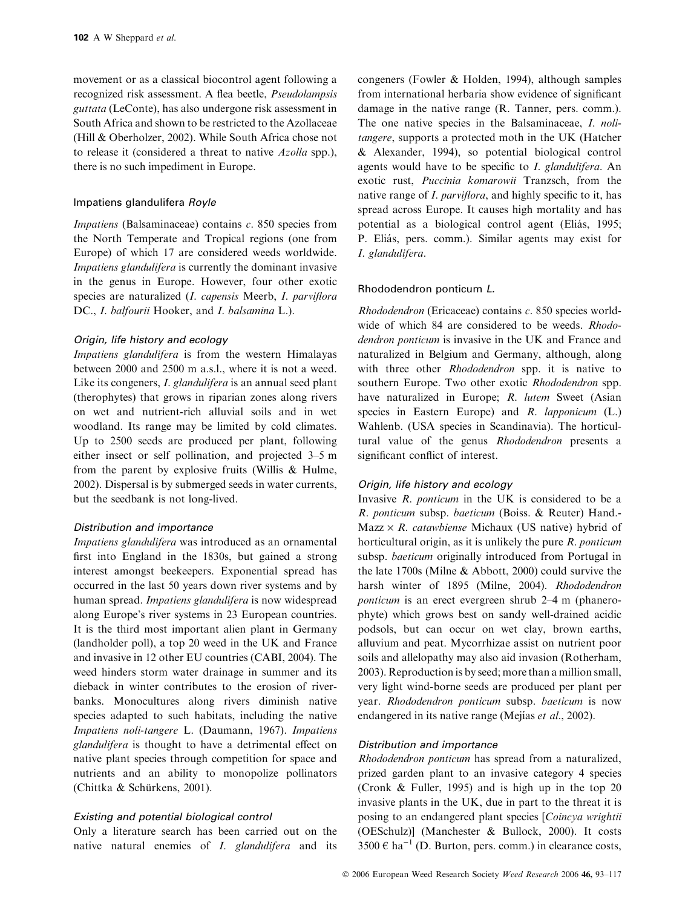movement or as a classical biocontrol agent following a recognized risk assessment. A flea beetle, Pseudolampsis guttata (LeConte), has also undergone risk assessment in South Africa and shown to be restricted to the Azollaceae (Hill & Oberholzer, 2002). While South Africa chose not to release it (considered a threat to native Azolla spp.), there is no such impediment in Europe.

# Impatiens glandulifera Royle

*Impatiens* (Balsaminaceae) contains  $c$ . 850 species from the North Temperate and Tropical regions (one from Europe) of which 17 are considered weeds worldwide. Impatiens glandulifera is currently the dominant invasive in the genus in Europe. However, four other exotic species are naturalized (I. capensis Meerb, I. parviflora DC., I. balfourii Hooker, and I. balsamina L.).

# Origin, life history and ecology

Impatiens glandulifera is from the western Himalayas between 2000 and 2500 m a.s.l., where it is not a weed. Like its congeners, *I. glandulifera* is an annual seed plant (therophytes) that grows in riparian zones along rivers on wet and nutrient-rich alluvial soils and in wet woodland. Its range may be limited by cold climates. Up to 2500 seeds are produced per plant, following either insect or self pollination, and projected 3–5 m from the parent by explosive fruits (Willis  $\&$  Hulme, 2002). Dispersal is by submerged seeds in water currents, but the seedbank is not long-lived.

## Distribution and importance

Impatiens glandulifera was introduced as an ornamental first into England in the 1830s, but gained a strong interest amongst beekeepers. Exponential spread has occurred in the last 50 years down river systems and by human spread. Impatiens glandulifera is now widespread along Europe's river systems in 23 European countries. It is the third most important alien plant in Germany (landholder poll), a top 20 weed in the UK and France and invasive in 12 other EU countries (CABI, 2004). The weed hinders storm water drainage in summer and its dieback in winter contributes to the erosion of riverbanks. Monocultures along rivers diminish native species adapted to such habitats, including the native Impatiens noli-tangere L. (Daumann, 1967). Impatiens glandulifera is thought to have a detrimental effect on native plant species through competition for space and nutrients and an ability to monopolize pollinators (Chittka & Schürkens, 2001).

# Existing and potential biological control

Only a literature search has been carried out on the native natural enemies of *I. glandulifera* and its congeners (Fowler & Holden, 1994), although samples from international herbaria show evidence of significant damage in the native range (R. Tanner, pers. comm.). The one native species in the Balsaminaceae, *I. noli*tangere, supports a protected moth in the UK (Hatcher & Alexander, 1994), so potential biological control agents would have to be specific to I. glandulifera. An exotic rust, Puccinia komarowii Tranzsch, from the native range of *I. parviflora*, and highly specific to it, has spread across Europe. It causes high mortality and has potential as a biological control agent (Eliás, 1995; P. Eliás, pers. comm.). Similar agents may exist for I. glandulifera.

# Rhododendron ponticum L.

Rhododendron (Ericaceae) contains c. 850 species worldwide of which 84 are considered to be weeds. Rhododendron ponticum is invasive in the UK and France and naturalized in Belgium and Germany, although, along with three other *Rhododendron* spp. it is native to southern Europe. Two other exotic *Rhododendron* spp. have naturalized in Europe; R. lutem Sweet (Asian species in Eastern Europe) and R. lapponicum (L.) Wahlenb. (USA species in Scandinavia). The horticultural value of the genus Rhododendron presents a significant conflict of interest.

## Origin, life history and ecology

Invasive R. ponticum in the UK is considered to be a R. ponticum subsp. baeticum (Boiss. & Reuter) Hand.- Mazz  $\times$  R. catawbiense Michaux (US native) hybrid of horticultural origin, as it is unlikely the pure  $R$ . *ponticum* subsp. baeticum originally introduced from Portugal in the late 1700s (Milne & Abbott, 2000) could survive the harsh winter of 1895 (Milne, 2004). Rhododendron ponticum is an erect evergreen shrub 2–4 m (phanerophyte) which grows best on sandy well-drained acidic podsols, but can occur on wet clay, brown earths, alluvium and peat. Mycorrhizae assist on nutrient poor soils and allelopathy may also aid invasion (Rotherham, 2003). Reproduction is by seed; more than a million small, very light wind-borne seeds are produced per plant per year. Rhododendron ponticum subsp. baeticum is now endangered in its native range (Mejías et al., 2002).

# Distribution and importance

Rhododendron ponticum has spread from a naturalized, prized garden plant to an invasive category 4 species (Cronk & Fuller, 1995) and is high up in the top 20 invasive plants in the UK, due in part to the threat it is posing to an endangered plant species [Coincya wrightii (OESchulz)] (Manchester & Bullock, 2000). It costs  $3500 \text{ }\epsilon \text{ ha}^{-1}$  (D. Burton, pers. comm.) in clearance costs,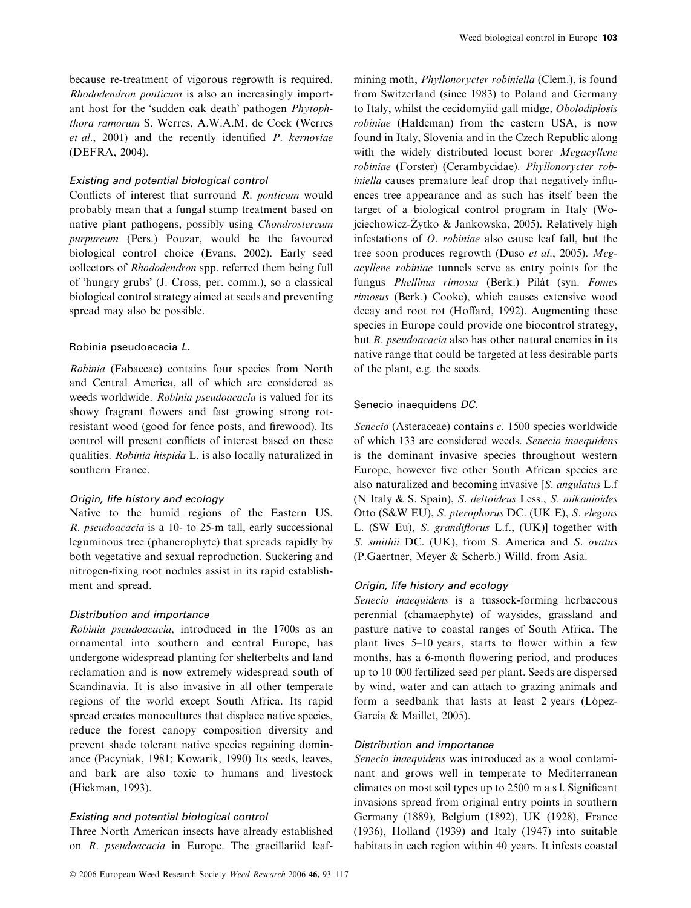because re-treatment of vigorous regrowth is required. Rhododendron ponticum is also an increasingly important host for the 'sudden oak death' pathogen *Phytoph*thora ramorum S. Werres, A.W.A.M. de Cock (Werres et al., 2001) and the recently identified P. kernoviae (DEFRA, 2004).

#### Existing and potential biological control

Conflicts of interest that surround R. ponticum would probably mean that a fungal stump treatment based on native plant pathogens, possibly using Chondrostereum purpureum (Pers.) Pouzar, would be the favoured biological control choice (Evans, 2002). Early seed collectors of Rhododendron spp. referred them being full of 'hungry grubs' (J. Cross, per. comm.), so a classical biological control strategy aimed at seeds and preventing spread may also be possible.

## Robinia pseudoacacia L.

Robinia (Fabaceae) contains four species from North and Central America, all of which are considered as weeds worldwide. Robinia pseudoacacia is valued for its showy fragrant flowers and fast growing strong rotresistant wood (good for fence posts, and firewood). Its control will present conflicts of interest based on these qualities. Robinia hispida L. is also locally naturalized in southern France.

#### Origin, life history and ecology

Native to the humid regions of the Eastern US, R. pseudoacacia is a 10- to 25-m tall, early successional leguminous tree (phanerophyte) that spreads rapidly by both vegetative and sexual reproduction. Suckering and nitrogen-fixing root nodules assist in its rapid establishment and spread.

## Distribution and importance

Robinia pseudoacacia, introduced in the 1700s as an ornamental into southern and central Europe, has undergone widespread planting for shelterbelts and land reclamation and is now extremely widespread south of Scandinavia. It is also invasive in all other temperate regions of the world except South Africa. Its rapid spread creates monocultures that displace native species, reduce the forest canopy composition diversity and prevent shade tolerant native species regaining dominance (Pacyniak, 1981; Kowarik, 1990) Its seeds, leaves, and bark are also toxic to humans and livestock (Hickman, 1993).

#### Existing and potential biological control

Three North American insects have already established on R. pseudoacacia in Europe. The gracillariid leafmining moth, *Phyllonorycter robiniella* (Clem.), is found from Switzerland (since 1983) to Poland and Germany to Italy, whilst the cecidomyiid gall midge, Obolodiplosis robiniae (Haldeman) from the eastern USA, is now found in Italy, Slovenia and in the Czech Republic along with the widely distributed locust borer Megacyllene robiniae (Forster) (Cerambycidae). Phyllonorycter robiniella causes premature leaf drop that negatively influences tree appearance and as such has itself been the target of a biological control program in Italy (Wojciechowicz- $\dot{Z}$ ytko & Jankowska, 2005). Relatively high infestations of O. robiniae also cause leaf fall, but the tree soon produces regrowth (Duso et al., 2005). Megacyllene robiniae tunnels serve as entry points for the fungus Phellinus rimosus (Berk.) Pilát (syn. Fomes rimosus (Berk.) Cooke), which causes extensive wood decay and root rot (Hoffard, 1992). Augmenting these species in Europe could provide one biocontrol strategy, but R. pseudoacacia also has other natural enemies in its native range that could be targeted at less desirable parts of the plant, e.g. the seeds.

#### Senecio inaequidens DC.

Senecio (Asteraceae) contains c. 1500 species worldwide of which 133 are considered weeds. Senecio inaequidens is the dominant invasive species throughout western Europe, however five other South African species are also naturalized and becoming invasive [S. angulatus L.f (N Italy & S. Spain), S. deltoideus Less., S. mikanioides Otto (S&W EU), S. pterophorus DC. (UK E), S. elegans L. (SW Eu), S. grandiflorus L.f., (UK)] together with S. smithii DC. (UK), from S. America and S. ovatus (P.Gaertner, Meyer & Scherb.) Willd. from Asia.

#### Origin, life history and ecology

Senecio inaequidens is a tussock-forming herbaceous perennial (chamaephyte) of waysides, grassland and pasture native to coastal ranges of South Africa. The plant lives 5–10 years, starts to flower within a few months, has a 6-month flowering period, and produces up to 10 000 fertilized seed per plant. Seeds are dispersed by wind, water and can attach to grazing animals and form a seedbank that lasts at least 2 years (López-García & Maillet, 2005).

#### Distribution and importance

Senecio inaequidens was introduced as a wool contaminant and grows well in temperate to Mediterranean climates on most soil types up to 2500 m a s l. Significant invasions spread from original entry points in southern Germany (1889), Belgium (1892), UK (1928), France (1936), Holland (1939) and Italy (1947) into suitable habitats in each region within 40 years. It infests coastal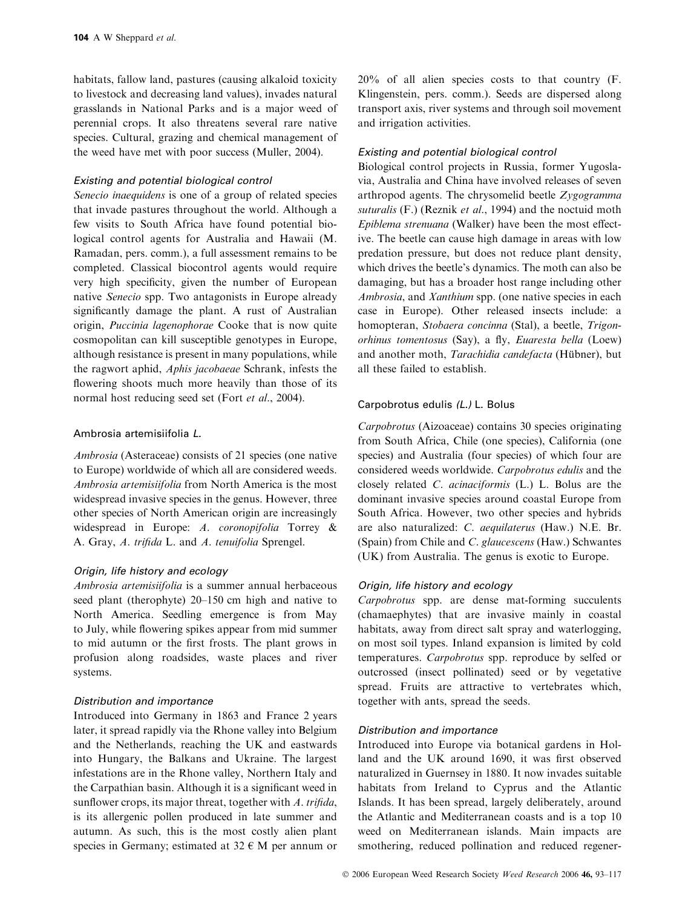habitats, fallow land, pastures (causing alkaloid toxicity to livestock and decreasing land values), invades natural grasslands in National Parks and is a major weed of perennial crops. It also threatens several rare native species. Cultural, grazing and chemical management of the weed have met with poor success (Muller, 2004).

## Existing and potential biological control

Senecio inaequidens is one of a group of related species that invade pastures throughout the world. Although a few visits to South Africa have found potential biological control agents for Australia and Hawaii (M. Ramadan, pers. comm.), a full assessment remains to be completed. Classical biocontrol agents would require very high specificity, given the number of European native Senecio spp. Two antagonists in Europe already significantly damage the plant. A rust of Australian origin, Puccinia lagenophorae Cooke that is now quite cosmopolitan can kill susceptible genotypes in Europe, although resistance is present in many populations, while the ragwort aphid, Aphis jacobaeae Schrank, infests the flowering shoots much more heavily than those of its normal host reducing seed set (Fort et al., 2004).

## Ambrosia artemisiifolia L.

Ambrosia (Asteraceae) consists of 21 species (one native to Europe) worldwide of which all are considered weeds. Ambrosia artemisiifolia from North America is the most widespread invasive species in the genus. However, three other species of North American origin are increasingly widespread in Europe: A. coronopifolia Torrey & A. Gray, A. trifida L. and A. tenuifolia Sprengel.

## Origin, life history and ecology

Ambrosia artemisiifolia is a summer annual herbaceous seed plant (therophyte) 20–150 cm high and native to North America. Seedling emergence is from May to July, while flowering spikes appear from mid summer to mid autumn or the first frosts. The plant grows in profusion along roadsides, waste places and river systems.

#### Distribution and importance

Introduced into Germany in 1863 and France 2 years later, it spread rapidly via the Rhone valley into Belgium and the Netherlands, reaching the UK and eastwards into Hungary, the Balkans and Ukraine. The largest infestations are in the Rhone valley, Northern Italy and the Carpathian basin. Although it is a significant weed in sunflower crops, its major threat, together with A. trifida, is its allergenic pollen produced in late summer and autumn. As such, this is the most costly alien plant species in Germany; estimated at  $32 \in M$  per annum or

20% of all alien species costs to that country (F. Klingenstein, pers. comm.). Seeds are dispersed along transport axis, river systems and through soil movement and irrigation activities.

#### Existing and potential biological control

Biological control projects in Russia, former Yugoslavia, Australia and China have involved releases of seven arthropod agents. The chrysomelid beetle Zygogramma suturalis (F.) (Reznik et al., 1994) and the noctuid moth Epiblema strenuana (Walker) have been the most effective. The beetle can cause high damage in areas with low predation pressure, but does not reduce plant density, which drives the beetle's dynamics. The moth can also be damaging, but has a broader host range including other Ambrosia, and Xanthium spp. (one native species in each case in Europe). Other released insects include: a homopteran, Stobaera concinna (Stal), a beetle, Trigonorhinus tomentosus (Say), a fly, Euaresta bella (Loew) and another moth, *Tarachidia candefacta* (Hübner), but all these failed to establish.

## Carpobrotus edulis (L.) L. Bolus

Carpobrotus (Aizoaceae) contains 30 species originating from South Africa, Chile (one species), California (one species) and Australia (four species) of which four are considered weeds worldwide. Carpobrotus edulis and the closely related C. acinaciformis (L.) L. Bolus are the dominant invasive species around coastal Europe from South Africa. However, two other species and hybrids are also naturalized: C. aequilaterus (Haw.) N.E. Br. (Spain) from Chile and C. glaucescens (Haw.) Schwantes (UK) from Australia. The genus is exotic to Europe.

## Origin, life history and ecology

Carpobrotus spp. are dense mat-forming succulents (chamaephytes) that are invasive mainly in coastal habitats, away from direct salt spray and waterlogging, on most soil types. Inland expansion is limited by cold temperatures. Carpobrotus spp. reproduce by selfed or outcrossed (insect pollinated) seed or by vegetative spread. Fruits are attractive to vertebrates which, together with ants, spread the seeds.

## Distribution and importance

Introduced into Europe via botanical gardens in Holland and the UK around 1690, it was first observed naturalized in Guernsey in 1880. It now invades suitable habitats from Ireland to Cyprus and the Atlantic Islands. It has been spread, largely deliberately, around the Atlantic and Mediterranean coasts and is a top 10 weed on Mediterranean islands. Main impacts are smothering, reduced pollination and reduced regener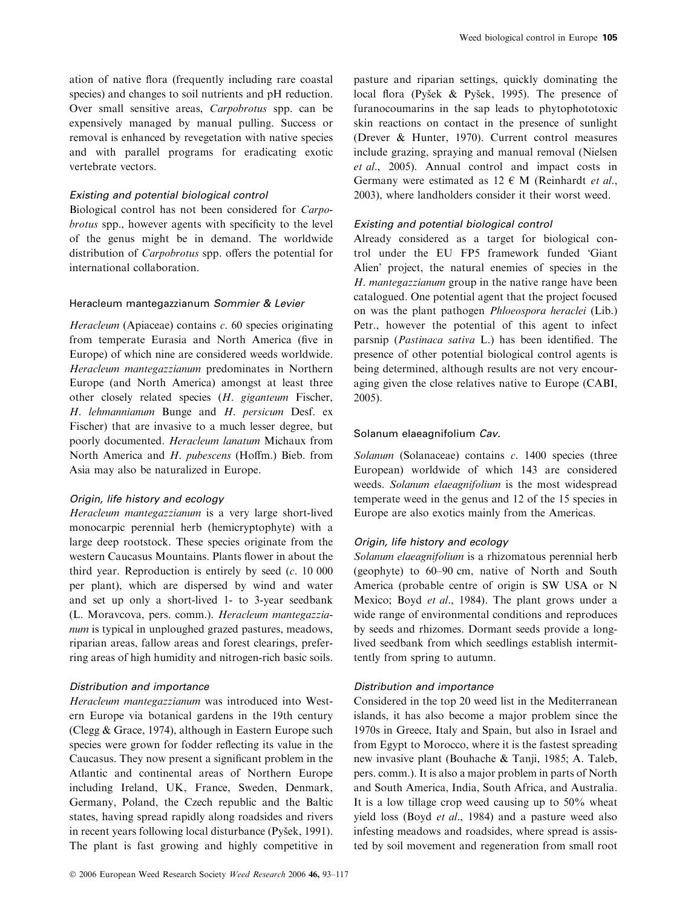ation of native flora (frequently including rare coastal species) and changes to soil nutrients and pH reduction. Over small sensitive areas, Carpobrotus spp. can be expensively managed by manual pulling. Success or removal is enhanced by revegetation with native species and with parallel programs for eradicating exotic vertebrate vectors.

#### Existing and potential biological control

Biological control has not been considered for Carpobrotus spp., however agents with specificity to the level of the genus might be in demand. The worldwide distribution of Carpobrotus spp. offers the potential for international collaboration.

#### Heracleum mantegazzianum Sommier & Levier

Heracleum (Apiaceae) contains  $c$ . 60 species originating from temperate Eurasia and North America (five in Europe) of which nine are considered weeds worldwide. Heracleum mantegazzianum predominates in Northern Europe (and North America) amongst at least three other closely related species (H. giganteum Fischer, H. lehmannianum Bunge and H. persicum Desf. ex Fischer) that are invasive to a much lesser degree, but poorly documented. Heracleum lanatum Michaux from North America and H. pubescens (Hoffm.) Bieb. from Asia may also be naturalized in Europe.

## Origin, life history and ecology

Heracleum mantegazzianum is a very large short-lived monocarpic perennial herb (hemicryptophyte) with a large deep rootstock. These species originate from the western Caucasus Mountains. Plants flower in about the third year. Reproduction is entirely by seed  $(c. 10000$ per plant), which are dispersed by wind and water and set up only a short-lived 1- to 3-year seedbank (L. Moravcova, pers. comm.). Heracleum mantegazzianum is typical in unploughed grazed pastures, meadows, riparian areas, fallow areas and forest clearings, preferring areas of high humidity and nitrogen-rich basic soils.

#### Distribution and importance

Heracleum mantegazzianum was introduced into Western Europe via botanical gardens in the 19th century (Clegg & Grace, 1974), although in Eastern Europe such species were grown for fodder reflecting its value in the Caucasus. They now present a significant problem in the Atlantic and continental areas of Northern Europe including Ireland, UK, France, Sweden, Denmark, Germany, Poland, the Czech republic and the Baltic states, having spread rapidly along roadsides and rivers in recent years following local disturbance (Pyšek, 1991). The plant is fast growing and highly competitive in

pasture and riparian settings, quickly dominating the local flora (Pyšek  $\&$  Pyšek, 1995). The presence of furanocoumarins in the sap leads to phytophototoxic skin reactions on contact in the presence of sunlight (Drever & Hunter, 1970). Current control measures include grazing, spraying and manual removal (Nielsen et al., 2005). Annual control and impact costs in Germany were estimated as  $12 \in M$  (Reinhardt et al., 2003), where landholders consider it their worst weed.

#### Existing and potential biological control

Already considered as a target for biological control under the EU FP5 framework funded Giant Alien' project, the natural enemies of species in the H. mantegazzianum group in the native range have been catalogued. One potential agent that the project focused on was the plant pathogen Phloeospora heraclei (Lib.) Petr., however the potential of this agent to infect parsnip (Pastinaca sativa L.) has been identified. The presence of other potential biological control agents is being determined, although results are not very encouraging given the close relatives native to Europe (CABI, 2005).

#### Solanum elaeagnifolium Cav.

Solanum (Solanaceae) contains  $c$ . 1400 species (three European) worldwide of which 143 are considered weeds. Solanum elaeagnifolium is the most widespread temperate weed in the genus and 12 of the 15 species in Europe are also exotics mainly from the Americas.

#### Origin, life history and ecology

Solanum elaeagnifolium is a rhizomatous perennial herb (geophyte) to 60–90 cm, native of North and South America (probable centre of origin is SW USA or N Mexico; Boyd et al., 1984). The plant grows under a wide range of environmental conditions and reproduces by seeds and rhizomes. Dormant seeds provide a longlived seedbank from which seedlings establish intermittently from spring to autumn.

#### Distribution and importance

Considered in the top 20 weed list in the Mediterranean islands, it has also become a major problem since the 1970s in Greece, Italy and Spain, but also in Israel and from Egypt to Morocco, where it is the fastest spreading new invasive plant (Bouhache & Tanji, 1985; A. Taleb, pers. comm.). It is also a major problem in parts of North and South America, India, South Africa, and Australia. It is a low tillage crop weed causing up to 50% wheat yield loss (Boyd et al., 1984) and a pasture weed also infesting meadows and roadsides, where spread is assisted by soil movement and regeneration from small root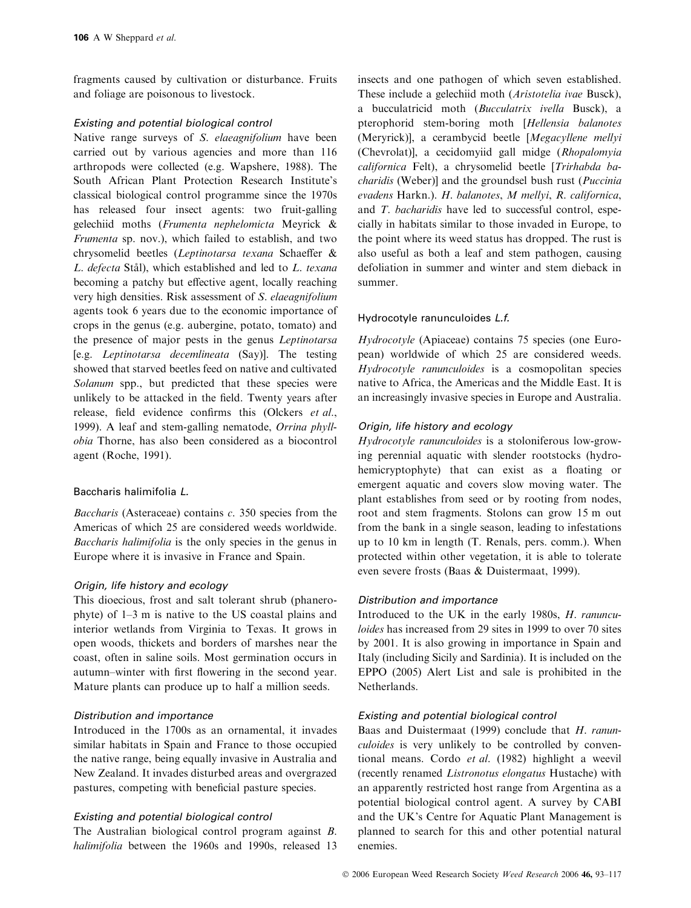fragments caused by cultivation or disturbance. Fruits and foliage are poisonous to livestock.

## Existing and potential biological control

Native range surveys of S. elaeagnifolium have been carried out by various agencies and more than 116 arthropods were collected (e.g. Wapshere, 1988). The South African Plant Protection Research Institute's classical biological control programme since the 1970s has released four insect agents: two fruit-galling gelechiid moths (Frumenta nephelomicta Meyrick & Frumenta sp. nov.), which failed to establish, and two chrysomelid beetles (Leptinotarsa texana Schaeffer & L. defecta Stål), which established and led to L. texana becoming a patchy but effective agent, locally reaching very high densities. Risk assessment of S. elaeagnifolium agents took 6 years due to the economic importance of crops in the genus (e.g. aubergine, potato, tomato) and the presence of major pests in the genus Leptinotarsa [e.g. Leptinotarsa decemlineata (Say)]. The testing showed that starved beetles feed on native and cultivated Solanum spp., but predicted that these species were unlikely to be attacked in the field. Twenty years after release, field evidence confirms this (Olckers et al., 1999). A leaf and stem-galling nematode, Orrina phyllobia Thorne, has also been considered as a biocontrol agent (Roche, 1991).

# Baccharis halimifolia L.

Baccharis (Asteraceae) contains  $c$ . 350 species from the Americas of which 25 are considered weeds worldwide. Baccharis halimifolia is the only species in the genus in Europe where it is invasive in France and Spain.

## Origin, life history and ecology

This dioecious, frost and salt tolerant shrub (phanerophyte) of 1–3 m is native to the US coastal plains and interior wetlands from Virginia to Texas. It grows in open woods, thickets and borders of marshes near the coast, often in saline soils. Most germination occurs in autumn–winter with first flowering in the second year. Mature plants can produce up to half a million seeds.

#### Distribution and importance

Introduced in the 1700s as an ornamental, it invades similar habitats in Spain and France to those occupied the native range, being equally invasive in Australia and New Zealand. It invades disturbed areas and overgrazed pastures, competing with beneficial pasture species.

# Existing and potential biological control

The Australian biological control program against B. halimifolia between the 1960s and 1990s, released 13 insects and one pathogen of which seven established. These include a gelechiid moth (Aristotelia ivae Busck), a bucculatricid moth (Bucculatrix ivella Busck), a pterophorid stem-boring moth [Hellensia balanotes (Meryrick)], a cerambycid beetle [Megacyllene mellyi (Chevrolat)], a cecidomyiid gall midge (Rhopalomyia californica Felt), a chrysomelid beetle [Trirhabda bacharidis (Weber)] and the groundsel bush rust (Puccinia evadens Harkn.). H. balanotes, M mellyi, R. californica, and T. bacharidis have led to successful control, especially in habitats similar to those invaded in Europe, to the point where its weed status has dropped. The rust is also useful as both a leaf and stem pathogen, causing defoliation in summer and winter and stem dieback in summer.

## Hydrocotyle ranunculoides L.f.

Hydrocotyle (Apiaceae) contains 75 species (one European) worldwide of which 25 are considered weeds. Hydrocotyle ranunculoides is a cosmopolitan species native to Africa, the Americas and the Middle East. It is an increasingly invasive species in Europe and Australia.

## Origin, life history and ecology

Hydrocotyle ranunculoides is a stoloniferous low-growing perennial aquatic with slender rootstocks (hydrohemicryptophyte) that can exist as a floating or emergent aquatic and covers slow moving water. The plant establishes from seed or by rooting from nodes, root and stem fragments. Stolons can grow 15 m out from the bank in a single season, leading to infestations up to 10 km in length (T. Renals, pers. comm.). When protected within other vegetation, it is able to tolerate even severe frosts (Baas & Duistermaat, 1999).

#### Distribution and importance

Introduced to the UK in the early 1980s, H. ranunculoides has increased from 29 sites in 1999 to over 70 sites by 2001. It is also growing in importance in Spain and Italy (including Sicily and Sardinia). It is included on the EPPO (2005) Alert List and sale is prohibited in the Netherlands.

#### Existing and potential biological control

Baas and Duistermaat (1999) conclude that H. ranunculoides is very unlikely to be controlled by conventional means. Cordo et al. (1982) highlight a weevil (recently renamed Listronotus elongatus Hustache) with an apparently restricted host range from Argentina as a potential biological control agent. A survey by CABI and the UK's Centre for Aquatic Plant Management is planned to search for this and other potential natural enemies.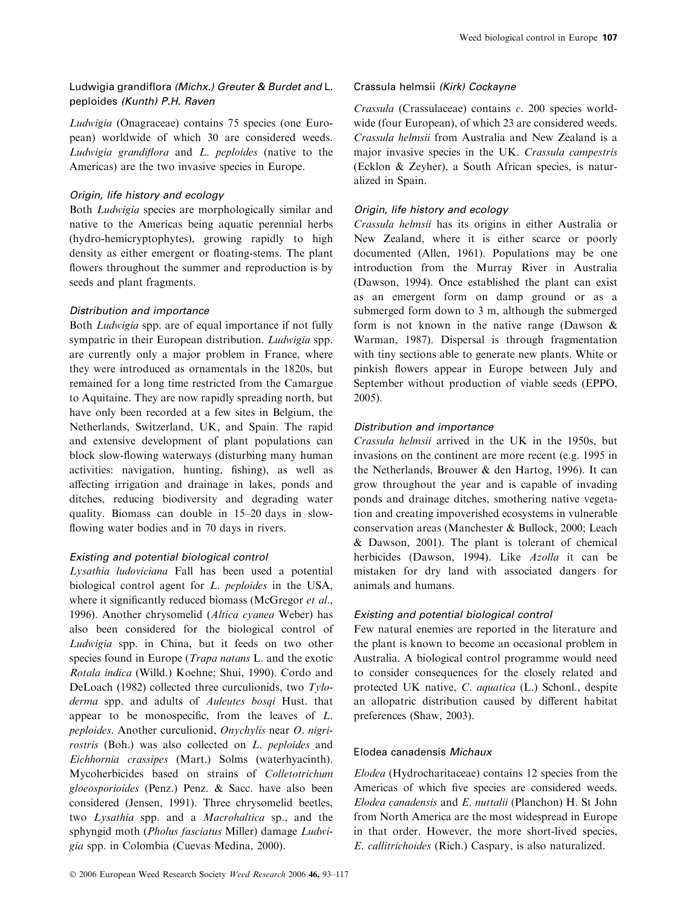# Ludwigia grandiflora (Michx.) Greuter & Burdet and L. peploides (Kunth) P.H. Raven

Ludwigia (Onagraceae) contains 75 species (one European) worldwide of which 30 are considered weeds. Ludwigia grandiflora and L. peploides (native to the Americas) are the two invasive species in Europe.

# Origin, life history and ecology

Both Ludwigia species are morphologically similar and native to the Americas being aquatic perennial herbs (hydro-hemicryptophytes), growing rapidly to high density as either emergent or floating-stems. The plant flowers throughout the summer and reproduction is by seeds and plant fragments.

## Distribution and importance

Both Ludwigia spp. are of equal importance if not fully sympatric in their European distribution. Ludwigia spp. are currently only a major problem in France, where they were introduced as ornamentals in the 1820s, but remained for a long time restricted from the Camargue to Aquitaine. They are now rapidly spreading north, but have only been recorded at a few sites in Belgium, the Netherlands, Switzerland, UK, and Spain. The rapid and extensive development of plant populations can block slow-flowing waterways (disturbing many human activities: navigation, hunting, fishing), as well as affecting irrigation and drainage in lakes, ponds and ditches, reducing biodiversity and degrading water quality. Biomass can double in 15–20 days in slowflowing water bodies and in 70 days in rivers.

# Existing and potential biological control

Lysathia ludoviciana Fall has been used a potential biological control agent for L. peploides in the USA, where it significantly reduced biomass (McGregor et al., 1996). Another chrysomelid (Altica cyanea Weber) has also been considered for the biological control of Ludwigia spp. in China, but it feeds on two other species found in Europe (*Trapa natans L.* and the exotic Rotala indica (Willd.) Koehne; Shui, 1990). Cordo and DeLoach (1982) collected three curculionids, two Tyloderma spp. and adults of Auleutes bosqi Hust. that appear to be monospecific, from the leaves of L. peploides. Another curculionid, Onychylis near O. nigrirostris (Boh.) was also collected on L. peploides and Eichhornia crassipes (Mart.) Solms (waterhyacinth). Mycoherbicides based on strains of Colletotrichum gloeosporioides (Penz.) Penz. & Sacc. have also been considered (Jensen, 1991). Three chrysomelid beetles, two Lysathia spp. and a Macrohaltica sp., and the sphyngid moth (Pholus fasciatus Miller) damage Ludwigia spp. in Colombia (Cuevas Medina, 2000).

# Crassula helmsii (Kirk) Cockayne

Crassula (Crassulaceae) contains c. 200 species worldwide (four European), of which 23 are considered weeds. Crassula helmsii from Australia and New Zealand is a major invasive species in the UK. Crassula campestris (Ecklon & Zeyher), a South African species, is naturalized in Spain.

# Origin, life history and ecology

Crassula helmsii has its origins in either Australia or New Zealand, where it is either scarce or poorly documented (Allen, 1961). Populations may be one introduction from the Murray River in Australia (Dawson, 1994). Once established the plant can exist as an emergent form on damp ground or as a submerged form down to 3 m, although the submerged form is not known in the native range (Dawson  $\&$ Warman, 1987). Dispersal is through fragmentation with tiny sections able to generate new plants. White or pinkish flowers appear in Europe between July and September without production of viable seeds (EPPO, 2005).

# Distribution and importance

Crassula helmsii arrived in the UK in the 1950s, but invasions on the continent are more recent (e.g. 1995 in the Netherlands, Brouwer & den Hartog, 1996). It can grow throughout the year and is capable of invading ponds and drainage ditches, smothering native vegetation and creating impoverished ecosystems in vulnerable conservation areas (Manchester & Bullock, 2000; Leach & Dawson, 2001). The plant is tolerant of chemical herbicides (Dawson, 1994). Like Azolla it can be mistaken for dry land with associated dangers for animals and humans.

## Existing and potential biological control

Few natural enemies are reported in the literature and the plant is known to become an occasional problem in Australia. A biological control programme would need to consider consequences for the closely related and protected UK native, C. aquatica (L.) Schonl., despite an allopatric distribution caused by different habitat preferences (Shaw, 2003).

## Elodea canadensis Michaux

Elodea (Hydrocharitaceae) contains 12 species from the Americas of which five species are considered weeds. Elodea canadensis and E. nuttalii (Planchon) H. St John from North America are the most widespread in Europe in that order. However, the more short-lived species, E. callitrichoides (Rich.) Caspary, is also naturalized.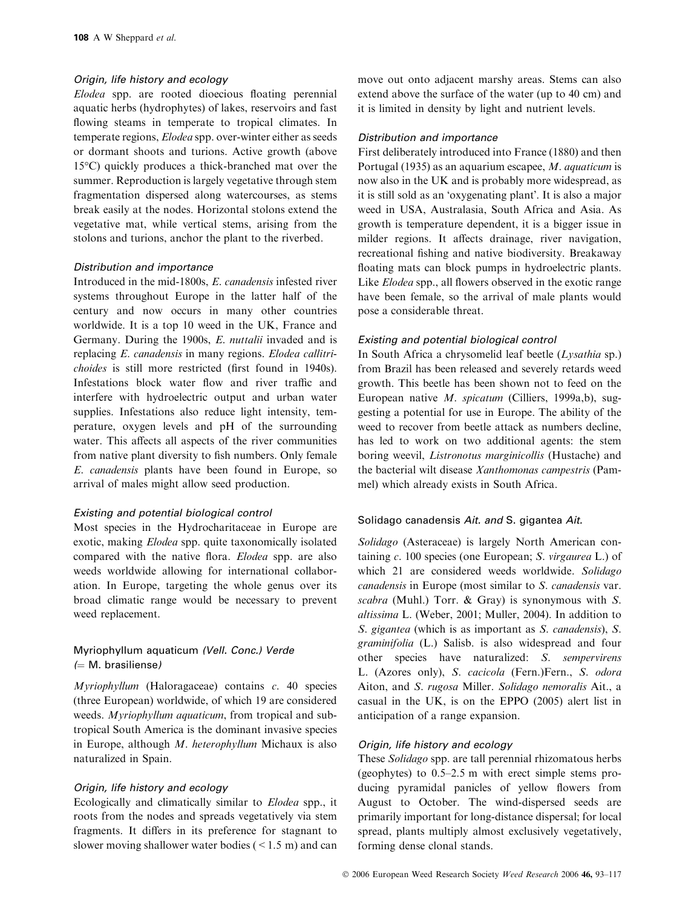#### Origin, life history and ecology

Elodea spp. are rooted dioecious floating perennial aquatic herbs (hydrophytes) of lakes, reservoirs and fast flowing steams in temperate to tropical climates. In temperate regions, *Elodea* spp. over-winter either as seeds or dormant shoots and turions. Active growth (above 15°C) quickly produces a thick-branched mat over the summer. Reproduction is largely vegetative through stem fragmentation dispersed along watercourses, as stems break easily at the nodes. Horizontal stolons extend the vegetative mat, while vertical stems, arising from the stolons and turions, anchor the plant to the riverbed.

## Distribution and importance

Introduced in the mid-1800s, E. canadensis infested river systems throughout Europe in the latter half of the century and now occurs in many other countries worldwide. It is a top 10 weed in the UK, France and Germany. During the 1900s, E. *nuttalii* invaded and is replacing E. canadensis in many regions. Elodea callitrichoides is still more restricted (first found in 1940s). Infestations block water flow and river traffic and interfere with hydroelectric output and urban water supplies. Infestations also reduce light intensity, temperature, oxygen levels and pH of the surrounding water. This affects all aspects of the river communities from native plant diversity to fish numbers. Only female E. canadensis plants have been found in Europe, so arrival of males might allow seed production.

#### Existing and potential biological control

Most species in the Hydrocharitaceae in Europe are exotic, making Elodea spp. quite taxonomically isolated compared with the native flora. *Elodea* spp. are also weeds worldwide allowing for international collaboration. In Europe, targeting the whole genus over its broad climatic range would be necessary to prevent weed replacement.

# Myriophyllum aquaticum (Vell. Conc.) Verde  $(= M. brasiliense)$

Myriophyllum (Haloragaceae) contains c. 40 species (three European) worldwide, of which 19 are considered weeds. Myriophyllum aquaticum, from tropical and subtropical South America is the dominant invasive species in Europe, although M. heterophyllum Michaux is also naturalized in Spain.

## Origin, life history and ecology

Ecologically and climatically similar to Elodea spp., it roots from the nodes and spreads vegetatively via stem fragments. It differs in its preference for stagnant to slower moving shallower water bodies  $(< 1.5 \text{ m})$  and can

move out onto adjacent marshy areas. Stems can also extend above the surface of the water (up to 40 cm) and it is limited in density by light and nutrient levels.

## Distribution and importance

First deliberately introduced into France (1880) and then Portugal (1935) as an aquarium escapee, M. aquaticum is now also in the UK and is probably more widespread, as it is still sold as an 'oxygenating plant'. It is also a major weed in USA, Australasia, South Africa and Asia. As growth is temperature dependent, it is a bigger issue in milder regions. It affects drainage, river navigation, recreational fishing and native biodiversity. Breakaway floating mats can block pumps in hydroelectric plants. Like Elodea spp., all flowers observed in the exotic range have been female, so the arrival of male plants would pose a considerable threat.

## Existing and potential biological control

In South Africa a chrysomelid leaf beetle (Lysathia sp.) from Brazil has been released and severely retards weed growth. This beetle has been shown not to feed on the European native M. spicatum (Cilliers, 1999a,b), suggesting a potential for use in Europe. The ability of the weed to recover from beetle attack as numbers decline, has led to work on two additional agents: the stem boring weevil, Listronotus marginicollis (Hustache) and the bacterial wilt disease Xanthomonas campestris (Pammel) which already exists in South Africa.

#### Solidago canadensis Ait. and S. gigantea Ait.

Solidago (Asteraceae) is largely North American containing  $c$ . 100 species (one European; S. virgaurea L.) of which 21 are considered weeds worldwide. Solidago canadensis in Europe (most similar to S. canadensis var. scabra (Muhl.) Torr.  $\&$  Gray) is synonymous with S. altissima L. (Weber, 2001; Muller, 2004). In addition to S. gigantea (which is as important as S. canadensis), S. graminifolia (L.) Salisb. is also widespread and four other species have naturalized: S. sempervirens L. (Azores only), S. cacicola (Fern.)Fern., S. odora Aiton, and S. rugosa Miller. Solidago nemoralis Ait., a casual in the UK, is on the EPPO (2005) alert list in anticipation of a range expansion.

#### Origin, life history and ecology

These Solidago spp. are tall perennial rhizomatous herbs (geophytes) to 0.5–2.5 m with erect simple stems producing pyramidal panicles of yellow flowers from August to October. The wind-dispersed seeds are primarily important for long-distance dispersal; for local spread, plants multiply almost exclusively vegetatively, forming dense clonal stands.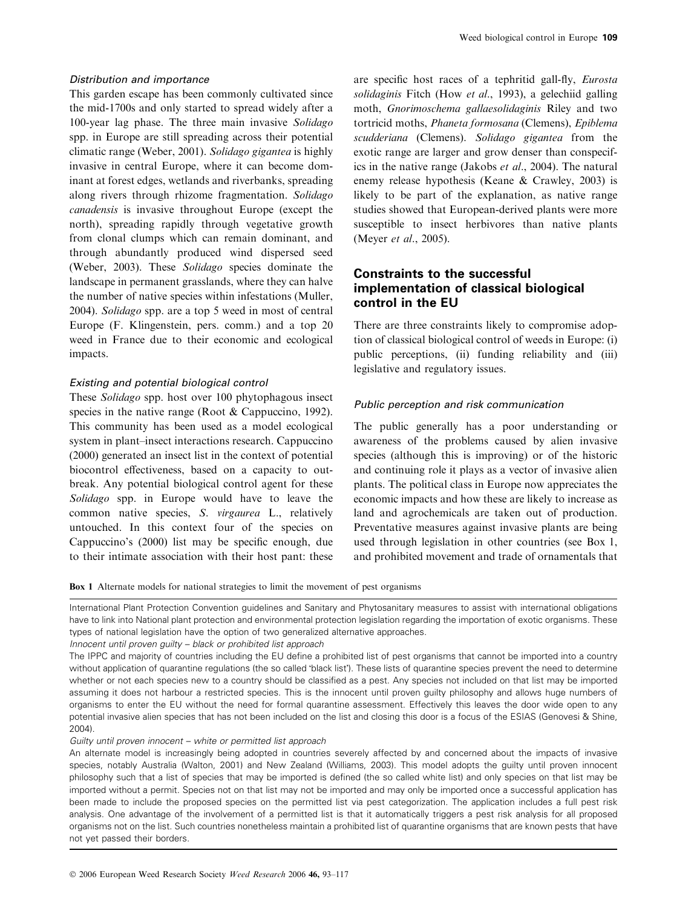## Distribution and importance

This garden escape has been commonly cultivated since the mid-1700s and only started to spread widely after a 100-year lag phase. The three main invasive Solidago spp. in Europe are still spreading across their potential climatic range (Weber, 2001). Solidago gigantea is highly invasive in central Europe, where it can become dominant at forest edges, wetlands and riverbanks, spreading along rivers through rhizome fragmentation. Solidago canadensis is invasive throughout Europe (except the north), spreading rapidly through vegetative growth from clonal clumps which can remain dominant, and through abundantly produced wind dispersed seed (Weber, 2003). These Solidago species dominate the landscape in permanent grasslands, where they can halve the number of native species within infestations (Muller, 2004). Solidago spp. are a top 5 weed in most of central Europe (F. Klingenstein, pers. comm.) and a top 20 weed in France due to their economic and ecological impacts.

#### Existing and potential biological control

These Solidago spp. host over 100 phytophagous insect species in the native range (Root & Cappuccino, 1992). This community has been used as a model ecological system in plant–insect interactions research. Cappuccino (2000) generated an insect list in the context of potential biocontrol effectiveness, based on a capacity to outbreak. Any potential biological control agent for these Solidago spp. in Europe would have to leave the common native species, S. virgaurea L., relatively untouched. In this context four of the species on Cappuccino's (2000) list may be specific enough, due to their intimate association with their host pant: these

are specific host races of a tephritid gall-fly, Eurosta solidaginis Fitch (How et al., 1993), a gelechiid galling moth, Gnorimoschema gallaesolidaginis Riley and two tortricid moths, Phaneta formosana (Clemens), Epiblema scudderiana (Clemens). Solidago gigantea from the exotic range are larger and grow denser than conspecifics in the native range (Jakobs et al., 2004). The natural enemy release hypothesis (Keane & Crawley, 2003) is likely to be part of the explanation, as native range studies showed that European-derived plants were more susceptible to insect herbivores than native plants (Meyer *et al.*, 2005).

# Constraints to the successful implementation of classical biological control in the EU

There are three constraints likely to compromise adoption of classical biological control of weeds in Europe: (i) public perceptions, (ii) funding reliability and (iii) legislative and regulatory issues.

## Public perception and risk communication

The public generally has a poor understanding or awareness of the problems caused by alien invasive species (although this is improving) or of the historic and continuing role it plays as a vector of invasive alien plants. The political class in Europe now appreciates the economic impacts and how these are likely to increase as land and agrochemicals are taken out of production. Preventative measures against invasive plants are being used through legislation in other countries (see Box 1, and prohibited movement and trade of ornamentals that

Box 1 Alternate models for national strategies to limit the movement of pest organisms

International Plant Protection Convention guidelines and Sanitary and Phytosanitary measures to assist with international obligations have to link into National plant protection and environmental protection legislation regarding the importation of exotic organisms. These types of national legislation have the option of two generalized alternative approaches.

Guilty until proven innocent – white or permitted list approach

Innocent until proven guilty – black or prohibited list approach

The IPPC and majority of countries including the EU define a prohibited list of pest organisms that cannot be imported into a country without application of quarantine regulations (the so called 'black list'). These lists of quarantine species prevent the need to determine whether or not each species new to a country should be classified as a pest. Any species not included on that list may be imported assuming it does not harbour a restricted species. This is the innocent until proven guilty philosophy and allows huge numbers of organisms to enter the EU without the need for formal quarantine assessment. Effectively this leaves the door wide open to any potential invasive alien species that has not been included on the list and closing this door is a focus of the ESIAS (Genovesi & Shine, 2004).

An alternate model is increasingly being adopted in countries severely affected by and concerned about the impacts of invasive species, notably Australia (Walton, 2001) and New Zealand (Williams, 2003). This model adopts the guilty until proven innocent philosophy such that a list of species that may be imported is defined (the so called white list) and only species on that list may be imported without a permit. Species not on that list may not be imported and may only be imported once a successful application has been made to include the proposed species on the permitted list via pest categorization. The application includes a full pest risk analysis. One advantage of the involvement of a permitted list is that it automatically triggers a pest risk analysis for all proposed organisms not on the list. Such countries nonetheless maintain a prohibited list of quarantine organisms that are known pests that have not yet passed their borders.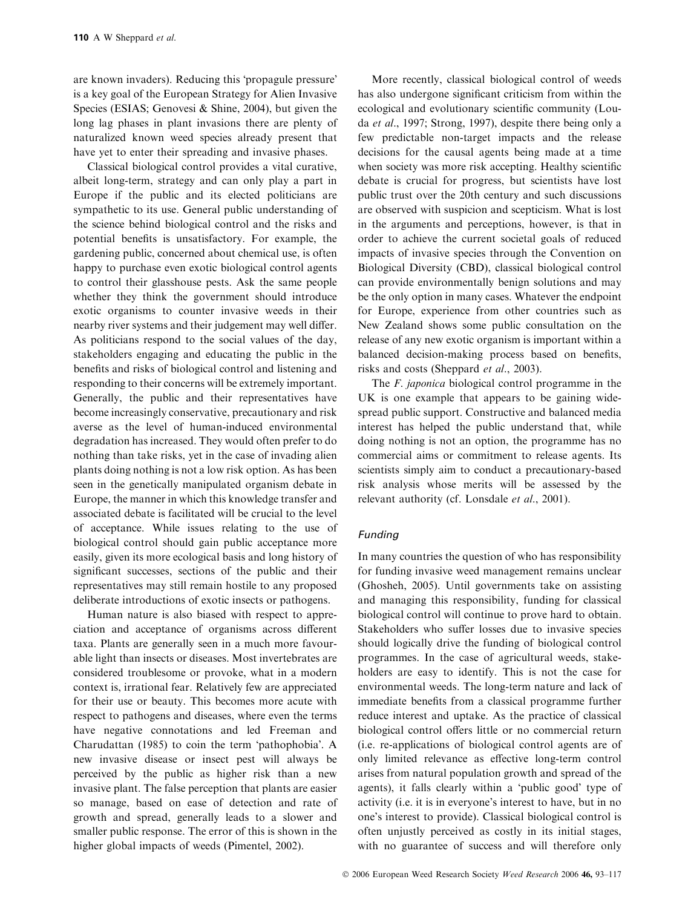are known invaders). Reducing this 'propagule pressure' is a key goal of the European Strategy for Alien Invasive Species (ESIAS; Genovesi & Shine, 2004), but given the long lag phases in plant invasions there are plenty of naturalized known weed species already present that have yet to enter their spreading and invasive phases.

Classical biological control provides a vital curative, albeit long-term, strategy and can only play a part in Europe if the public and its elected politicians are sympathetic to its use. General public understanding of the science behind biological control and the risks and potential benefits is unsatisfactory. For example, the gardening public, concerned about chemical use, is often happy to purchase even exotic biological control agents to control their glasshouse pests. Ask the same people whether they think the government should introduce exotic organisms to counter invasive weeds in their nearby river systems and their judgement may well differ. As politicians respond to the social values of the day, stakeholders engaging and educating the public in the benefits and risks of biological control and listening and responding to their concerns will be extremely important. Generally, the public and their representatives have become increasingly conservative, precautionary and risk averse as the level of human-induced environmental degradation has increased. They would often prefer to do nothing than take risks, yet in the case of invading alien plants doing nothing is not a low risk option. As has been seen in the genetically manipulated organism debate in Europe, the manner in which this knowledge transfer and associated debate is facilitated will be crucial to the level of acceptance. While issues relating to the use of biological control should gain public acceptance more easily, given its more ecological basis and long history of significant successes, sections of the public and their representatives may still remain hostile to any proposed deliberate introductions of exotic insects or pathogens.

Human nature is also biased with respect to appreciation and acceptance of organisms across different taxa. Plants are generally seen in a much more favourable light than insects or diseases. Most invertebrates are considered troublesome or provoke, what in a modern context is, irrational fear. Relatively few are appreciated for their use or beauty. This becomes more acute with respect to pathogens and diseases, where even the terms have negative connotations and led Freeman and Charudattan (1985) to coin the term 'pathophobia'. A new invasive disease or insect pest will always be perceived by the public as higher risk than a new invasive plant. The false perception that plants are easier so manage, based on ease of detection and rate of growth and spread, generally leads to a slower and smaller public response. The error of this is shown in the higher global impacts of weeds (Pimentel, 2002).

More recently, classical biological control of weeds has also undergone significant criticism from within the ecological and evolutionary scientific community (Louda et al., 1997; Strong, 1997), despite there being only a few predictable non-target impacts and the release decisions for the causal agents being made at a time when society was more risk accepting. Healthy scientific debate is crucial for progress, but scientists have lost public trust over the 20th century and such discussions are observed with suspicion and scepticism. What is lost in the arguments and perceptions, however, is that in order to achieve the current societal goals of reduced impacts of invasive species through the Convention on Biological Diversity (CBD), classical biological control can provide environmentally benign solutions and may be the only option in many cases. Whatever the endpoint for Europe, experience from other countries such as New Zealand shows some public consultation on the release of any new exotic organism is important within a balanced decision-making process based on benefits, risks and costs (Sheppard et al., 2003).

The *F. japonica* biological control programme in the UK is one example that appears to be gaining widespread public support. Constructive and balanced media interest has helped the public understand that, while doing nothing is not an option, the programme has no commercial aims or commitment to release agents. Its scientists simply aim to conduct a precautionary-based risk analysis whose merits will be assessed by the relevant authority (cf. Lonsdale et al., 2001).

## Funding

In many countries the question of who has responsibility for funding invasive weed management remains unclear (Ghosheh, 2005). Until governments take on assisting and managing this responsibility, funding for classical biological control will continue to prove hard to obtain. Stakeholders who suffer losses due to invasive species should logically drive the funding of biological control programmes. In the case of agricultural weeds, stakeholders are easy to identify. This is not the case for environmental weeds. The long-term nature and lack of immediate benefits from a classical programme further reduce interest and uptake. As the practice of classical biological control offers little or no commercial return (i.e. re-applications of biological control agents are of only limited relevance as effective long-term control arises from natural population growth and spread of the agents), it falls clearly within a 'public good' type of activity (i.e. it is in everyone's interest to have, but in no one's interest to provide). Classical biological control is often unjustly perceived as costly in its initial stages, with no guarantee of success and will therefore only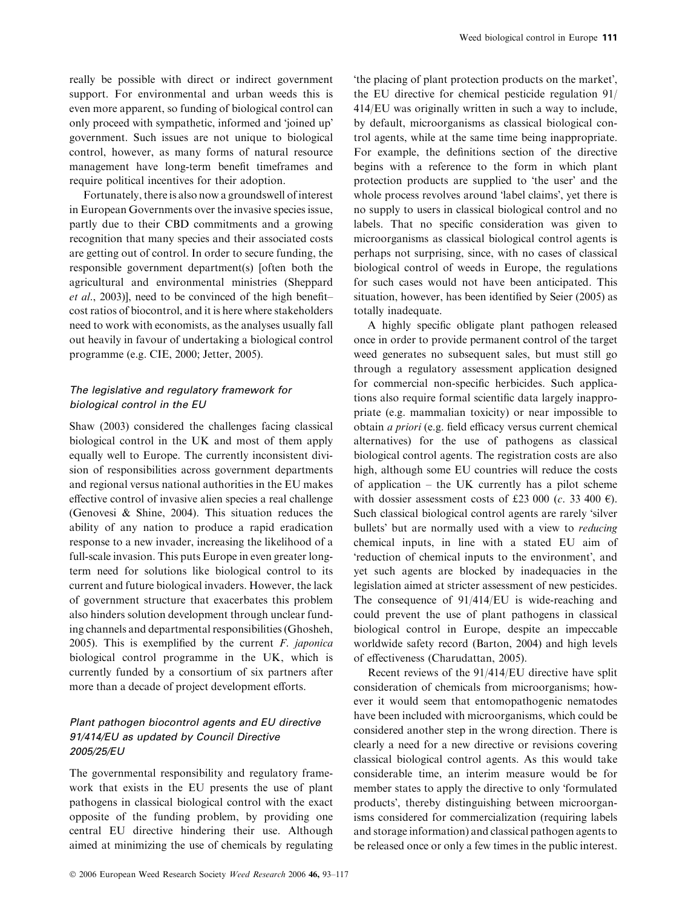really be possible with direct or indirect government support. For environmental and urban weeds this is even more apparent, so funding of biological control can only proceed with sympathetic, informed and joined up government. Such issues are not unique to biological control, however, as many forms of natural resource management have long-term benefit timeframes and require political incentives for their adoption.

Fortunately, there is also now a groundswell of interest in European Governments over the invasive species issue, partly due to their CBD commitments and a growing recognition that many species and their associated costs are getting out of control. In order to secure funding, the responsible government department(s) [often both the agricultural and environmental ministries (Sheppard et al., 2003)], need to be convinced of the high benefit– cost ratios of biocontrol, and it is here where stakeholders need to work with economists, as the analyses usually fall out heavily in favour of undertaking a biological control programme (e.g. CIE, 2000; Jetter, 2005).

# The legislative and regulatory framework for biological control in the EU

Shaw (2003) considered the challenges facing classical biological control in the UK and most of them apply equally well to Europe. The currently inconsistent division of responsibilities across government departments and regional versus national authorities in the EU makes effective control of invasive alien species a real challenge (Genovesi & Shine, 2004). This situation reduces the ability of any nation to produce a rapid eradication response to a new invader, increasing the likelihood of a full-scale invasion. This puts Europe in even greater longterm need for solutions like biological control to its current and future biological invaders. However, the lack of government structure that exacerbates this problem also hinders solution development through unclear funding channels and departmental responsibilities (Ghosheh, 2005). This is exemplified by the current  $F$ . *japonica* biological control programme in the UK, which is currently funded by a consortium of six partners after more than a decade of project development efforts.

# Plant pathogen biocontrol agents and EU directive 91/414/EU as updated by Council Directive 2005/25/EU

The governmental responsibility and regulatory framework that exists in the EU presents the use of plant pathogens in classical biological control with the exact opposite of the funding problem, by providing one central EU directive hindering their use. Although aimed at minimizing the use of chemicals by regulating

the placing of plant protection products on the market', the EU directive for chemical pesticide regulation 91/ 414/EU was originally written in such a way to include, by default, microorganisms as classical biological control agents, while at the same time being inappropriate. For example, the definitions section of the directive begins with a reference to the form in which plant protection products are supplied to 'the user' and the whole process revolves around 'label claims', yet there is no supply to users in classical biological control and no labels. That no specific consideration was given to microorganisms as classical biological control agents is perhaps not surprising, since, with no cases of classical biological control of weeds in Europe, the regulations for such cases would not have been anticipated. This situation, however, has been identified by Seier (2005) as totally inadequate.

A highly specific obligate plant pathogen released once in order to provide permanent control of the target weed generates no subsequent sales, but must still go through a regulatory assessment application designed for commercial non-specific herbicides. Such applications also require formal scientific data largely inappropriate (e.g. mammalian toxicity) or near impossible to obtain a priori (e.g. field efficacy versus current chemical alternatives) for the use of pathogens as classical biological control agents. The registration costs are also high, although some EU countries will reduce the costs of application – the UK currently has a pilot scheme with dossier assessment costs of £23 000 (c. 33 400 €). Such classical biological control agents are rarely 'silver bullets' but are normally used with a view to *reducing* chemical inputs, in line with a stated EU aim of reduction of chemical inputs to the environment, and yet such agents are blocked by inadequacies in the legislation aimed at stricter assessment of new pesticides. The consequence of 91/414/EU is wide-reaching and could prevent the use of plant pathogens in classical biological control in Europe, despite an impeccable worldwide safety record (Barton, 2004) and high levels of effectiveness (Charudattan, 2005).

Recent reviews of the 91/414/EU directive have split consideration of chemicals from microorganisms; however it would seem that entomopathogenic nematodes have been included with microorganisms, which could be considered another step in the wrong direction. There is clearly a need for a new directive or revisions covering classical biological control agents. As this would take considerable time, an interim measure would be for member states to apply the directive to only formulated products', thereby distinguishing between microorganisms considered for commercialization (requiring labels and storage information) and classical pathogen agents to be released once or only a few times in the public interest.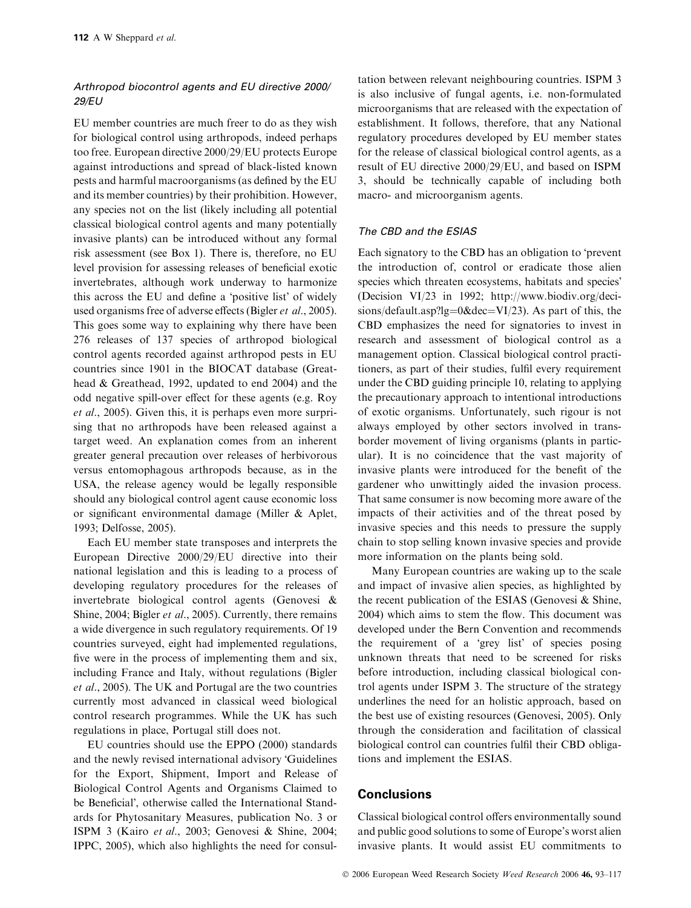# Arthropod biocontrol agents and EU directive 2000/ 29/EU

EU member countries are much freer to do as they wish for biological control using arthropods, indeed perhaps too free. European directive 2000/29/EU protects Europe against introductions and spread of black-listed known pests and harmful macroorganisms (as defined by the EU and its member countries) by their prohibition. However, any species not on the list (likely including all potential classical biological control agents and many potentially invasive plants) can be introduced without any formal risk assessment (see Box 1). There is, therefore, no EU level provision for assessing releases of beneficial exotic invertebrates, although work underway to harmonize this across the EU and define a 'positive list' of widely used organisms free of adverse effects (Bigler *et al.*, 2005). This goes some way to explaining why there have been 276 releases of 137 species of arthropod biological control agents recorded against arthropod pests in EU countries since 1901 in the BIOCAT database (Greathead & Greathead, 1992, updated to end 2004) and the odd negative spill-over effect for these agents (e.g. Roy et al., 2005). Given this, it is perhaps even more surprising that no arthropods have been released against a target weed. An explanation comes from an inherent greater general precaution over releases of herbivorous versus entomophagous arthropods because, as in the USA, the release agency would be legally responsible should any biological control agent cause economic loss or significant environmental damage (Miller & Aplet, 1993; Delfosse, 2005).

Each EU member state transposes and interprets the European Directive 2000/29/EU directive into their national legislation and this is leading to a process of developing regulatory procedures for the releases of invertebrate biological control agents (Genovesi & Shine, 2004; Bigler et al., 2005). Currently, there remains a wide divergence in such regulatory requirements. Of 19 countries surveyed, eight had implemented regulations, five were in the process of implementing them and six, including France and Italy, without regulations (Bigler et al., 2005). The UK and Portugal are the two countries currently most advanced in classical weed biological control research programmes. While the UK has such regulations in place, Portugal still does not.

EU countries should use the EPPO (2000) standards and the newly revised international advisory Guidelines for the Export, Shipment, Import and Release of Biological Control Agents and Organisms Claimed to be Beneficial', otherwise called the International Standards for Phytosanitary Measures, publication No. 3 or ISPM 3 (Kairo et al., 2003; Genovesi & Shine, 2004; IPPC, 2005), which also highlights the need for consul-

tation between relevant neighbouring countries. ISPM 3 is also inclusive of fungal agents, i.e. non-formulated microorganisms that are released with the expectation of establishment. It follows, therefore, that any National regulatory procedures developed by EU member states for the release of classical biological control agents, as a result of EU directive 2000/29/EU, and based on ISPM 3, should be technically capable of including both macro- and microorganism agents.

# The CBD and the ESIAS

Each signatory to the CBD has an obligation to 'prevent the introduction of, control or eradicate those alien species which threaten ecosystems, habitats and species (Decision VI/23 in 1992; http://www.biodiv.org/decisions/default.asp?lg=0&dec=VI/23). As part of this, the CBD emphasizes the need for signatories to invest in research and assessment of biological control as a management option. Classical biological control practitioners, as part of their studies, fulfil every requirement under the CBD guiding principle 10, relating to applying the precautionary approach to intentional introductions of exotic organisms. Unfortunately, such rigour is not always employed by other sectors involved in transborder movement of living organisms (plants in particular). It is no coincidence that the vast majority of invasive plants were introduced for the benefit of the gardener who unwittingly aided the invasion process. That same consumer is now becoming more aware of the impacts of their activities and of the threat posed by invasive species and this needs to pressure the supply chain to stop selling known invasive species and provide more information on the plants being sold.

Many European countries are waking up to the scale and impact of invasive alien species, as highlighted by the recent publication of the ESIAS (Genovesi & Shine, 2004) which aims to stem the flow. This document was developed under the Bern Convention and recommends the requirement of a 'grey list' of species posing unknown threats that need to be screened for risks before introduction, including classical biological control agents under ISPM 3. The structure of the strategy underlines the need for an holistic approach, based on the best use of existing resources (Genovesi, 2005). Only through the consideration and facilitation of classical biological control can countries fulfil their CBD obligations and implement the ESIAS.

# **Conclusions**

Classical biological control offers environmentally sound and public good solutions to some of Europe's worst alien invasive plants. It would assist EU commitments to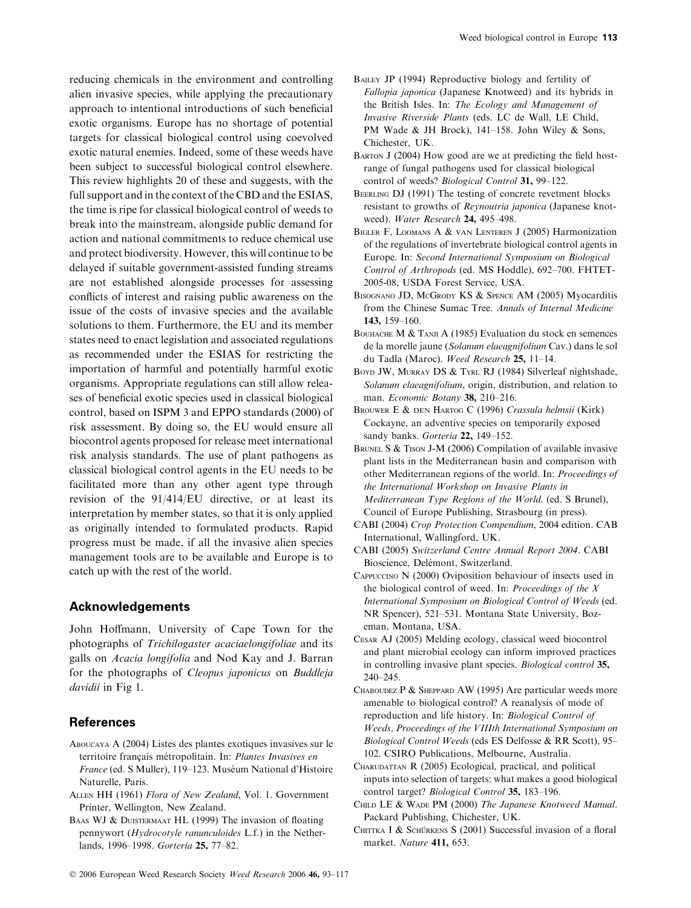reducing chemicals in the environment and controlling alien invasive species, while applying the precautionary approach to intentional introductions of such beneficial exotic organisms. Europe has no shortage of potential targets for classical biological control using coevolved exotic natural enemies. Indeed, some of these weeds have been subject to successful biological control elsewhere. This review highlights 20 of these and suggests, with the full support and in the context of the CBD and the ESIAS, the time is ripe for classical biological control of weeds to break into the mainstream, alongside public demand for action and national commitments to reduce chemical use and protect biodiversity. However, this will continue to be delayed if suitable government-assisted funding streams are not established alongside processes for assessing conflicts of interest and raising public awareness on the issue of the costs of invasive species and the available solutions to them. Furthermore, the EU and its member states need to enact legislation and associated regulations as recommended under the ESIAS for restricting the importation of harmful and potentially harmful exotic organisms. Appropriate regulations can still allow releases of beneficial exotic species used in classical biological control, based on ISPM 3 and EPPO standards (2000) of risk assessment. By doing so, the EU would ensure all biocontrol agents proposed for release meet international risk analysis standards. The use of plant pathogens as classical biological control agents in the EU needs to be facilitated more than any other agent type through revision of the 91/414/EU directive, or at least its interpretation by member states, so that it is only applied as originally intended to formulated products. Rapid progress must be made, if all the invasive alien species management tools are to be available and Europe is to catch up with the rest of the world.

# Acknowledgements

John Hoffmann, University of Cape Town for the photographs of Trichilogaster acaciaelongifoliae and its galls on Acacia longifolia and Nod Kay and J. Barran for the photographs of Cleopus japonicus on Buddleja davidii in Fig 1.

# References

- Aboucaya A (2004) Listes des plantes exotiques invasives sur le territoire français métropolitain. In: Plantes Invasives en France (ed. S Muller), 119-123. Muséum National d'Histoire Naturelle, Paris.
- Allen HH (1961) Flora of New Zealand, Vol. 1. Government Printer, Wellington, New Zealand.
- BAAS WJ & DUISTERMAAT HL (1999) The invasion of floating pennywort (Hydrocotyle ranunculoides L.f.) in the Netherlands, 1996–1998. Gorteria 25, 77–82.
- BAILEY JP (1994) Reproductive biology and fertility of Fallopia japonica (Japanese Knotweed) and its hybrids in the British Isles. In: The Ecology and Management of Invasive Riverside Plants (eds. LC de Wall, LE Child, PM Wade & JH Brock), 141-158. John Wiley & Sons, Chichester, UK.
- BARTON J (2004) How good are we at predicting the field hostrange of fungal pathogens used for classical biological control of weeds? Biological Control 31, 99–122.
- BEERLING DJ (1991) The testing of concrete revetment blocks resistant to growths of Reynoutria japonica (Japanese knotweed). Water Research 24, 495–498.
- Bigler F, Loomans A & VAN Lenteren J (2005) Harmonization of the regulations of invertebrate biological control agents in Europe. In: Second International Symposium on Biological Control of Arthropods (ed. MS Hoddle), 692–700. FHTET-2005-08, USDA Forest Service, USA.
- Bisognano JD, McGrody KS & Spence AM (2005) Myocarditis from the Chinese Sumac Tree. Annals of Internal Medicine 143, 159–160.
- BOUHACHE M & TANJI A (1985) Evaluation du stock en semences de la morelle jaune (Solanum elaeagnifolium Cav.) dans le sol du Tadla (Maroc). Weed Research 25, 11–14.
- Boyd JW, MURRAY DS & TYRL RJ (1984) Silverleaf nightshade, Solanum elaeagnifolium, origin, distribution, and relation to man. Economic Botany 38, 210-216.
- BROUWER E & DEN HARTOG C (1996) Crassula helmsii (Kirk) Cockayne, an adventive species on temporarily exposed sandy banks. Gorteria 22, 149-152.
- Brunel S & Tison J-M (2006) Compilation of available invasive plant lists in the Mediterranean basin and comparison with other Mediterranean regions of the world. In: Proceedings of the International Workshop on Invasive Plants in Mediterranean Type Regions of the World. (ed. S Brunel), Council of Europe Publishing, Strasbourg (in press).
- CABI (2004) Crop Protection Compendium, 2004 edition. CAB International, Wallingford, UK.
- CABI (2005) Switzerland Centre Annual Report 2004. CABI Bioscience, Delémont, Switzerland.
- Cappuccino N (2000) Oviposition behaviour of insects used in the biological control of weed. In: Proceedings of the X International Symposium on Biological Control of Weeds (ed. NR Spencer), 521–531. Montana State University, Bozeman, Montana, USA.
- Cesar AJ (2005) Melding ecology, classical weed biocontrol and plant microbial ecology can inform improved practices in controlling invasive plant species. Biological control 35, 240–245.
- CHABOUDEZ P & SHEPPARD AW (1995) Are particular weeds more amenable to biological control? A reanalysis of mode of reproduction and life history. In: Biological Control of Weeds, Proceedings of the VIIIth International Symposium on Biological Control Weeds (eds ES Delfosse & RR Scott), 95– 102. CSIRO Publications, Melbourne, Australia.
- CHARUDATTAN R (2005) Ecological, practical, and political inputs into selection of targets: what makes a good biological control target? Biological Control 35, 183–196.
- CHILD LE & WADE PM (2000) The Japanese Knotweed Manual. Packard Publishing, Chichester, UK.
- CHITTKA I & SCHÜRKENS S (2001) Successful invasion of a floral market. Nature 411, 653.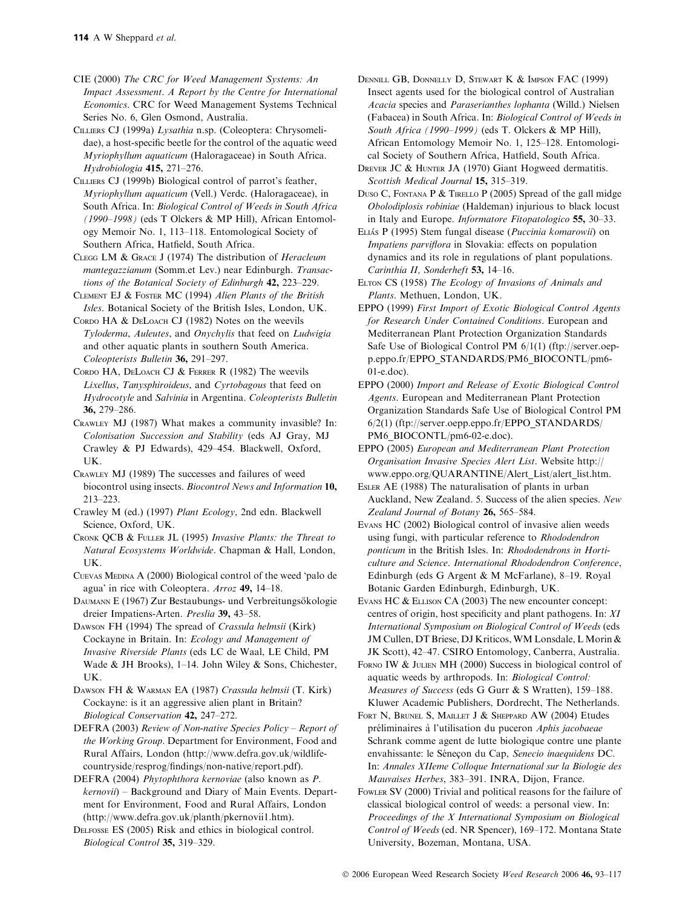CIE (2000) The CRC for Weed Management Systems: An Impact Assessment. A Report by the Centre for International Economics. CRC for Weed Management Systems Technical Series No. 6, Glen Osmond, Australia.

Cilliers CJ (1999a) Lysathia n.sp. (Coleoptera: Chrysomelidae), a host-specific beetle for the control of the aquatic weed Myriophyllum aquaticum (Haloragaceae) in South Africa. Hydrobiologia 415, 271–276.

Cilliers CJ (1999b) Biological control of parrot's feather, Myriophyllum aquaticum (Vell.) Verdc. (Haloragaceae), in South Africa. In: Biological Control of Weeds in South Africa (1990–1998) (eds T Olckers & MP Hill), African Entomology Memoir No. 1, 113–118. Entomological Society of Southern Africa, Hatfield, South Africa.

Clegg LM & Grace J (1974) The distribution of Heracleum mantegazzianum (Somm.et Lev.) near Edinburgh. Transactions of the Botanical Society of Edinburgh 42, 223–229.

Clement EJ & Foster MC (1994) Alien Plants of the British Isles. Botanical Society of the British Isles, London, UK.

CORDO HA  $&$  DELOACH CJ (1982) Notes on the weevils Tyloderma, Auleutes, and Onychylis that feed on Ludwigia and other aquatic plants in southern South America. Coleopterists Bulletin 36, 291–297.

CORDO HA, DELOACH CJ & FERRER R (1982) The weevils Lixellus, Tanysphiroideus, and Cyrtobagous that feed on Hydrocotyle and Salvinia in Argentina. Coleopterists Bulletin 36, 279–286.

Crawley MJ (1987) What makes a community invasible? In: Colonisation Succession and Stability (eds AJ Gray, MJ Crawley & PJ Edwards), 429–454. Blackwell, Oxford, UK.

Crawley MJ (1989) The successes and failures of weed biocontrol using insects. Biocontrol News and Information 10, 213–223.

Crawley M (ed.) (1997) Plant Ecology, 2nd edn. Blackwell Science, Oxford, UK.

CRONK QCB & FULLER JL (1995) Invasive Plants: the Threat to Natural Ecosystems Worldwide. Chapman & Hall, London, UK.

CUEVAS MEDINA A (2000) Biological control of the weed 'palo de agua' in rice with Coleoptera. Arroz 49, 14-18.

DAUMANN E (1967) Zur Bestaubungs- und Verbreitungsökologie dreier Impatiens-Arten. Preslia 39, 43–58.

Dawson FH (1994) The spread of Crassula helmsii (Kirk) Cockayne in Britain. In: Ecology and Management of Invasive Riverside Plants (eds LC de Waal, LE Child, PM Wade & JH Brooks), 1–14. John Wiley & Sons, Chichester, UK.

DAWSON FH & WARMAN EA (1987) Crassula helmsii (T. Kirk) Cockayne: is it an aggressive alien plant in Britain? Biological Conservation 42, 247–272.

DEFRA (2003) Review of Non-native Species Policy – Report of the Working Group. Department for Environment, Food and Rural Affairs, London (http://www.defra.gov.uk/wildlifecountryside/resprog/findings/non-native/report.pdf).

DEFRA (2004) Phytophthora kernoviae (also known as P. kernovii) – Background and Diary of Main Events. Department for Environment, Food and Rural Affairs, London (http://www.defra.gov.uk/planth/pkernovii1.htm).

Delfosse ES (2005) Risk and ethics in biological control. Biological Control 35, 319–329.

Dennill GB, Donnelly D, Stewart K & Impson FAC (1999) Insect agents used for the biological control of Australian Acacia species and Paraserianthes lophanta (Willd.) Nielsen (Fabacea) in South Africa. In: Biological Control of Weeds in South Africa (1990–1999) (eds T. Olckers & MP Hill), African Entomology Memoir No. 1, 125–128. Entomological Society of Southern Africa, Hatfield, South Africa.

DREVER JC & HUNTER JA (1970) Giant Hogweed dermatitis. Scottish Medical Journal 15, 315-319.

Duso C, FONTANA P & TIRELLO P (2005) Spread of the gall midge Obolodiplosis robiniae (Haldeman) injurious to black locust in Italy and Europe. Informatore Fitopatologico 55, 30–33.

ELIÁS P (1995) Stem fungal disease (Puccinia komarowii) on Impatiens parviflora in Slovakia: effects on population dynamics and its role in regulations of plant populations. Carinthia II, Sonderheft 53, 14–16.

ELTON CS (1958) The Ecology of Invasions of Animals and Plants. Methuen, London, UK.

EPPO (1999) First Import of Exotic Biological Control Agents for Research Under Contained Conditions. European and Mediterranean Plant Protection Organization Standards Safe Use of Biological Control PM 6/1(1) (ftp://server.oepp.eppo.fr/EPPO\_STANDARDS/PM6\_BIOCONTL/pm6- 01-e.doc).

EPPO (2000) Import and Release of Exotic Biological Control Agents. European and Mediterranean Plant Protection Organization Standards Safe Use of Biological Control PM 6/2(1) (ftp://server.oepp.eppo.fr/EPPO\_STANDARDS/ PM6\_BIOCONTL/pm6-02-e.doc).

EPPO (2005) European and Mediterranean Plant Protection Organisation Invasive Species Alert List. Website http:// www.eppo.org/QUARANTINE/Alert\_List/alert\_list.htm.

Esler AE (1988) The naturalisation of plants in urban Auckland, New Zealand. 5. Success of the alien species. New Zealand Journal of Botany 26, 565-584.

Evans HC (2002) Biological control of invasive alien weeds using fungi, with particular reference to Rhododendron ponticum in the British Isles. In: Rhododendrons in Horticulture and Science. International Rhododendron Conference, Edinburgh (eds G Argent & M McFarlane), 8–19. Royal Botanic Garden Edinburgh, Edinburgh, UK.

Evans HC & Ellison CA (2003) The new encounter concept: centres of origin, host specificity and plant pathogens. In: XI International Symposium on Biological Control of Weeds (eds JM Cullen, DT Briese, DJ Kriticos, WM Lonsdale, L Morin & JK Scott), 42–47. CSIRO Entomology, Canberra, Australia.

FORNO IW & JULIEN MH (2000) Success in biological control of aquatic weeds by arthropods. In: Biological Control: Measures of Success (eds G Gurr & S Wratten), 159–188. Kluwer Academic Publishers, Dordrecht, The Netherlands.

FORT N, BRUNEL S, MAILLET J & SHEPPARD AW (2004) Etudes préliminaires à l'utilisation du puceron Aphis jacobaeae Schrank comme agent de lutte biologique contre une plante envahissante: le Séneçon du Cap, Senecio inaequidens DC. In: Annales XIIeme Colloque International sur la Biologie des Mauvaises Herbes, 383–391. INRA, Dijon, France.

Fowler SV (2000) Trivial and political reasons for the failure of classical biological control of weeds: a personal view. In: Proceedings of the X International Symposium on Biological Control of Weeds (ed. NR Spencer), 169–172. Montana State University, Bozeman, Montana, USA.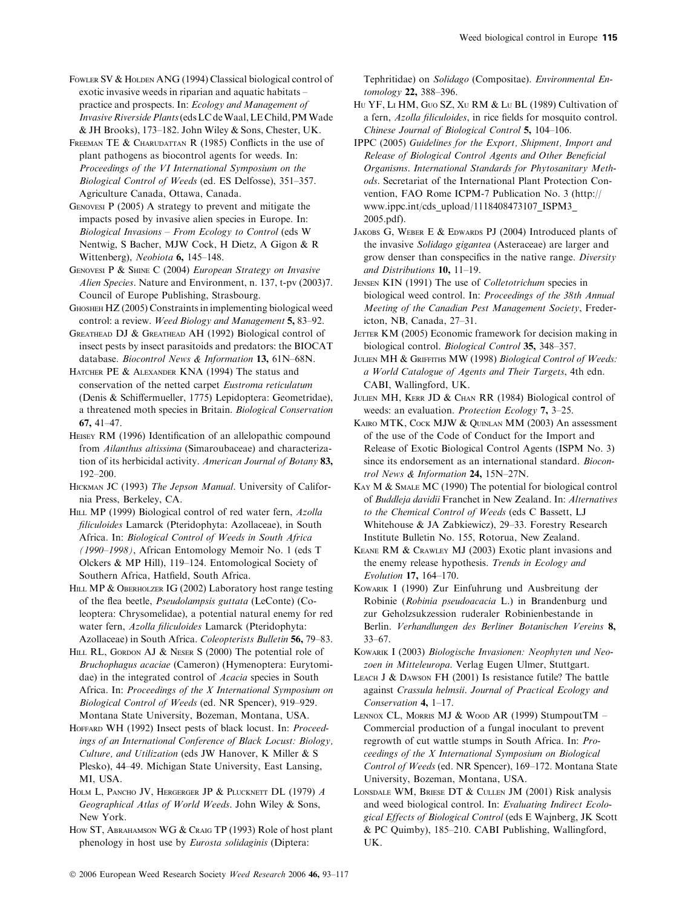FOWLER SV & HOLDEN ANG (1994) Classical biological control of exotic invasive weeds in riparian and aquatic habitats – practice and prospects. In: Ecology and Management of Invasive Riverside Plants(edsLC deWaal, LE Child, PMWade & JH Brooks), 173–182. John Wiley & Sons, Chester, UK.

FREEMAN TE & CHARUDATTAN R (1985) Conflicts in the use of plant pathogens as biocontrol agents for weeds. In: Proceedings of the VI International Symposium on the Biological Control of Weeds (ed. ES Delfosse), 351–357. Agriculture Canada, Ottawa, Canada.

Genovesi P (2005) A strategy to prevent and mitigate the impacts posed by invasive alien species in Europe. In: Biological Invasions – From Ecology to Control (eds W Nentwig, S Bacher, MJW Cock, H Dietz, A Gigon & R Wittenberg), Neobiota 6, 145–148.

Genovesi P & Shine C (2004) European Strategy on Invasive Alien Species. Nature and Environment, n. 137, t-pv (2003)7. Council of Europe Publishing, Strasbourg.

Ghosheh HZ (2005) Constraints in implementing biological weed control: a review. Weed Biology and Management 5, 83–92.

Greathead DJ & Greathead AH (1992) Biological control of insect pests by insect parasitoids and predators: the BIOCAT database. Biocontrol News & Information 13, 61N–68N.

HATCHER PE & ALEXANDER KNA (1994) The status and conservation of the netted carpet Eustroma reticulatum (Denis & Schiffermueller, 1775) Lepidoptera: Geometridae), a threatened moth species in Britain. Biological Conservation 67, 41–47.

Heisey RM (1996) Identification of an allelopathic compound from Ailanthus altissima (Simaroubaceae) and characterization of its herbicidal activity. American Journal of Botany 83, 192–200.

HICKMAN JC (1993) The Jepson Manual. University of California Press, Berkeley, CA.

HILL MP (1999) Biological control of red water fern, Azolla filiculoides Lamarck (Pteridophyta: Azollaceae), in South Africa. In: Biological Control of Weeds in South Africa (1990–1998), African Entomology Memoir No. 1 (eds T Olckers & MP Hill), 119–124. Entomological Society of Southern Africa, Hatfield, South Africa.

HILL MP & OBERHOLZER IG (2002) Laboratory host range testing of the flea beetle, Pseudolampsis guttata (LeConte) (Coleoptera: Chrysomelidae), a potential natural enemy for red water fern, Azolla filiculoides Lamarck (Pteridophyta: Azollaceae) in South Africa. Coleopterists Bulletin 56, 79–83.

HILL RL, GORDON AJ & NESER S (2000) The potential role of Bruchophagus acaciae (Cameron) (Hymenoptera: Eurytomidae) in the integrated control of Acacia species in South Africa. In: Proceedings of the X International Symposium on Biological Control of Weeds (ed. NR Spencer), 919–929. Montana State University, Bozeman, Montana, USA.

HOFFARD WH (1992) Insect pests of black locust. In: Proceedings of an International Conference of Black Locust: Biology, Culture, and Utilization (eds JW Hanover, K Miller & S Plesko), 44–49. Michigan State University, East Lansing, MI, USA.

HOLM L, PANCHO JV, HERGERGER JP & PLUCKNETT DL (1979) A Geographical Atlas of World Weeds. John Wiley & Sons, New York.

How ST, Abrahamson WG & Craig TP (1993) Role of host plant phenology in host use by Eurosta solidaginis (Diptera:

Tephritidae) on Solidago (Compositae). Environmental Entomology 22, 388–396.

Hu YF, Li HM, Guo SZ, Xu RM & Lu BL (1989) Cultivation of a fern, Azolla filiculoides, in rice fields for mosquito control. Chinese Journal of Biological Control 5, 104–106.

IPPC (2005) Guidelines for the Export, Shipment, Import and Release of Biological Control Agents and Other Beneficial Organisms. International Standards for Phytosanitary Methods. Secretariat of the International Plant Protection Convention, FAO Rome ICPM-7 Publication No. 3 (http:// www.ippc.int/cds\_upload/1118408473107\_ISPM3\_ 2005.pdf).

JAKOBS G, WEBER E & EDWARDS PJ (2004) Introduced plants of the invasive Solidago gigantea (Asteraceae) are larger and grow denser than conspecifics in the native range. Diversity and Distributions 10, 11–19.

JENSEN KIN (1991) The use of *Colletotrichum* species in biological weed control. In: Proceedings of the 38th Annual Meeting of the Canadian Pest Management Society, Fredericton, NB, Canada, 27–31.

JETTER KM (2005) Economic framework for decision making in biological control. Biological Control 35, 348–357.

JULIEN MH & GRIFFITHS MW (1998) Biological Control of Weeds: a World Catalogue of Agents and Their Targets, 4th edn. CABI, Wallingford, UK.

JULIEN MH, KERR JD & CHAN RR (1984) Biological control of weeds: an evaluation. Protection Ecology 7, 3-25.

KAIRO MTK, COCK MJW & QUINLAN MM (2003) An assessment of the use of the Code of Conduct for the Import and Release of Exotic Biological Control Agents (ISPM No. 3) since its endorsement as an international standard. Biocontrol News & Information 24, 15N-27N.

KAY M & SMALE MC (1990) The potential for biological control of Buddleja davidii Franchet in New Zealand. In: Alternatives to the Chemical Control of Weeds (eds C Bassett, LJ Whitehouse & JA Zabkiewicz), 29–33. Forestry Research Institute Bulletin No. 155, Rotorua, New Zealand.

Keane RM & Crawley MJ (2003) Exotic plant invasions and the enemy release hypothesis. Trends in Ecology and Evolution 17, 164–170.

Kowarik I (1990) Zur Einfuhrung und Ausbreitung der Robinie (Robinia pseudoacacia L.) in Brandenburg und zur Geholzsukzession ruderaler Robinienbestande in Berlin. Verhandlungen des Berliner Botanischen Vereins 8, 33–67.

KOWARIK I (2003) Biologische Invasionen: Neophyten und Neozoen in Mitteleuropa. Verlag Eugen Ulmer, Stuttgart.

Leach J & Dawson FH (2001) Is resistance futile? The battle against Crassula helmsii. Journal of Practical Ecology and Conservation 4, 1–17.

Lennox CL, Morris MJ & Wood AR (1999) StumpoutTM – Commercial production of a fungal inoculant to prevent regrowth of cut wattle stumps in South Africa. In: Proceedings of the X International Symposium on Biological Control of Weeds (ed. NR Spencer), 169–172. Montana State University, Bozeman, Montana, USA.

LONSDALE WM, BRIESE DT & CULLEN JM (2001) Risk analysis and weed biological control. In: Evaluating Indirect Ecological Effects of Biological Control (eds E Wajnberg, JK Scott & PC Quimby), 185–210. CABI Publishing, Wallingford, UK.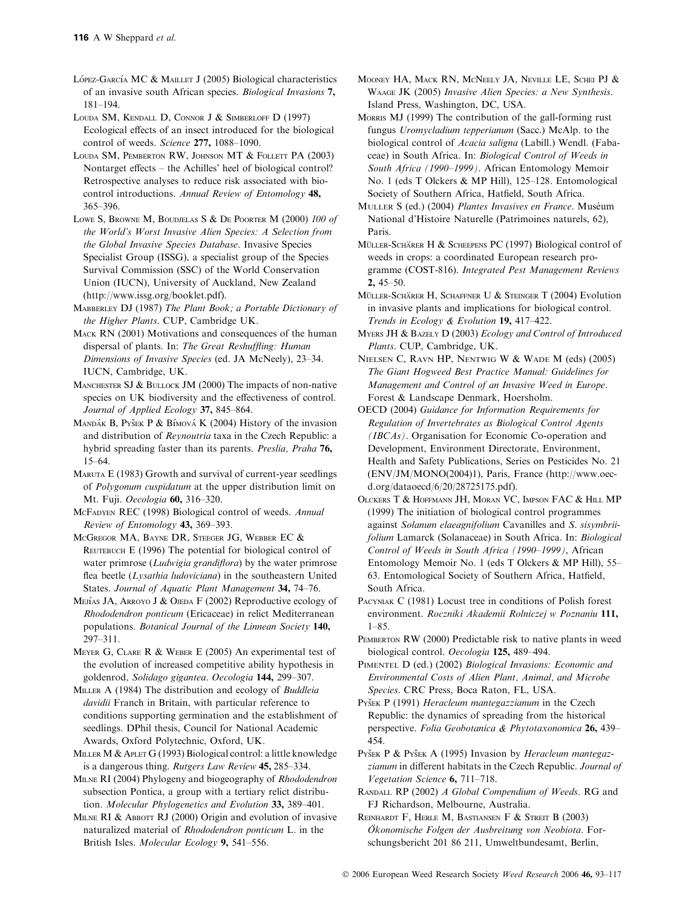- LÓPEZ-GARCÍA MC & MAILLET J (2005) Biological characteristics of an invasive south African species. Biological Invasions 7, 181–194.
- LOUDA SM, KENDALL D, CONNOR J & SIMBERLOFF D (1997) Ecological effects of an insect introduced for the biological control of weeds. Science 277, 1088-1090.
- Louda SM, Pemberton RW, Johnson MT & Follett PA (2003) Nontarget effects  $-$  the Achilles' heel of biological control? Retrospective analyses to reduce risk associated with biocontrol introductions. Annual Review of Entomology 48, 365–396.
- LOWE S, BROWNE M, BOUDJELAS S & DE POORTER M  $(2000)$  100 of the World's Worst Invasive Alien Species: A Selection from the Global Invasive Species Database. Invasive Species Specialist Group (ISSG), a specialist group of the Species Survival Commission (SSC) of the World Conservation Union (IUCN), University of Auckland, New Zealand (http://www.issg.org/booklet.pdf).
- MABBERLEY DJ (1987) The Plant Book; a Portable Dictionary of the Higher Plants. CUP, Cambridge UK.
- Mack RN (2001) Motivations and consequences of the human dispersal of plants. In: The Great Reshuffling: Human Dimensions of Invasive Species (ed. JA McNeely), 23–34. IUCN, Cambridge, UK.
- MANCHESTER SJ  $&$  BULLOCK JM (2000) The impacts of non-native species on UK biodiversity and the effectiveness of control. Journal of Applied Ecology 37, 845–864.
- MANDÁK B, PYŠEK P & BÍMOVÁ K (2004) History of the invasion and distribution of Reynoutria taxa in the Czech Republic: a hybrid spreading faster than its parents. Preslia, Praha 76, 15–64.
- Maruta E (1983) Growth and survival of current-year seedlings of Polygonum cuspidatum at the upper distribution limit on Mt. Fuji. Oecologia 60, 316–320.
- McFADYEN REC (1998) Biological control of weeds. Annual Review of Entomology 43, 369–393.
- McGregor MA, Bayne DR, Steeger JG, Webber EC & REUTEBUCH E (1996) The potential for biological control of water primrose (*Ludwigia grandiflora*) by the water primrose flea beetle (Lysathia ludoviciana) in the southeastern United States. Journal of Aquatic Plant Management 34, 74–76.
- Mejías JA, Arroyo J & Ojeda F (2002) Reproductive ecology of Rhododendron ponticum (Ericaceae) in relict Mediterranean populations. Botanical Journal of the Linnean Society 140, 297–311.
- MEYER G, CLARE R & WEBER E (2005) An experimental test of the evolution of increased competitive ability hypothesis in goldenrod, Solidago gigantea. Oecologia 144, 299–307.
- MILLER A (1984) The distribution and ecology of *Buddleia* davidii Franch in Britain, with particular reference to conditions supporting germination and the establishment of seedlings. DPhil thesis, Council for National Academic Awards, Oxford Polytechnic, Oxford, UK.
- MILLER M & APLET G (1993) Biological control: a little knowledge is a dangerous thing. Rutgers Law Review 45, 285–334.
- MILNE RI (2004) Phylogeny and biogeography of Rhododendron subsection Pontica, a group with a tertiary relict distribution. Molecular Phylogenetics and Evolution 33, 389–401.
- MILNE RI  $&$  Abbott RJ (2000) Origin and evolution of invasive naturalized material of Rhododendron ponticum L. in the British Isles. Molecular Ecology 9, 541–556.
- Mooney HA, Mack RN, McNeely JA, Neville LE, Schei PJ & Waage JK (2005) Invasive Alien Species: a New Synthesis. Island Press, Washington, DC, USA.
- Morris MJ (1999) The contribution of the gall-forming rust fungus *Uromycladium tepperianum* (Sacc.) McAlp. to the biological control of Acacia saligna (Labill.) Wendl. (Fabaceae) in South Africa. In: Biological Control of Weeds in South Africa (1990–1999). African Entomology Memoir No. 1 (eds T Olckers & MP Hill), 125–128. Entomological Society of Southern Africa, Hatfield, South Africa.
- MULLER S (ed.) (2004) Plantes Invasives en France. Muséum National d'Histoire Naturelle (Patrimoines naturels, 62), Paris.
- MÜLLER-SCHÄRER H & SCHEEPENS PC (1997) Biological control of weeds in crops: a coordinated European research programme (COST-816). Integrated Pest Management Reviews 2, 45–50.
- MÜLLER-SCHÄRER H, SCHAFFNER U & STEINGER T (2004) Evolution in invasive plants and implications for biological control. Trends in Ecology & Evolution 19, 417–422.
- Myers JH & Bazely D (2003) Ecology and Control of Introduced Plants. CUP, Cambridge, UK.
- NIELSEN C, RAVN HP, NENTWIG W & WADE M (eds) (2005) The Giant Hogweed Best Practice Manual: Guidelines for Management and Control of an Invasive Weed in Europe. Forest & Landscape Denmark, Hoersholm.
- OECD (2004) Guidance for Information Requirements for Regulation of Invertebrates as Biological Control Agents (IBCAs). Organisation for Economic Co-operation and Development, Environment Directorate, Environment, Health and Safety Publications, Series on Pesticides No. 21 (ENV/JM/MONO(2004)1), Paris, France (http://www.oecd.org/dataoecd/6/20/28725175.pdf).
- Olckers T & Hoffmann JH, Moran VC, Impson FAC & Hill MP (1999) The initiation of biological control programmes against Solanum elaeagnifolium Cavanilles and S. sisymbriifolium Lamarck (Solanaceae) in South Africa. In: Biological Control of Weeds in South Africa (1990–1999), African Entomology Memoir No. 1 (eds T Olckers & MP Hill), 55– 63. Entomological Society of Southern Africa, Hatfield, South Africa.
- PACYNIAK C (1981) Locust tree in conditions of Polish forest environment. Roczniki Akademii Rolniczej w Poznaniu 111, 1–85.
- PEMBERTON RW (2000) Predictable risk to native plants in weed biological control. Oecologia 125, 489–494.
- PIMENTEL D (ed.) (2002) Biological Invasions: Economic and Environmental Costs of Alien Plant, Animal, and Microbe Species. CRC Press, Boca Raton, FL, USA.
- PYŠEK P (1991) Heracleum mantegazzianum in the Czech Republic: the dynamics of spreading from the historical perspective. Folia Geobotanica & Phytotaxonomica 26, 439-454.
- PYŠEK P & PYŠEK A (1995) Invasion by Heracleum mantegazzianum in different habitats in the Czech Republic. Journal of Vegetation Science 6, 711–718.
- RANDALL RP (2002) A Global Compendium of Weeds. RG and FJ Richardson, Melbourne, Australia.
- REINHARDT F, HERLE M, BASTIANSEN F  $&$  Streit B (2003)  $Ökonomische Folgen der Ausbreitung von Neobiota. For$ schungsbericht 201 86 211, Umweltbundesamt, Berlin,